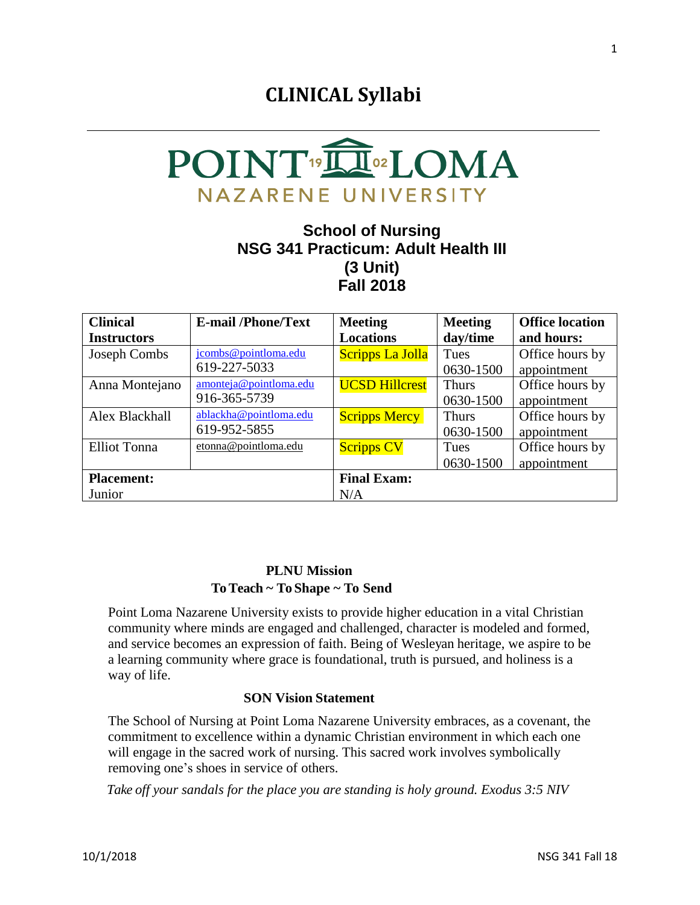# **CLINICAL Syllabi**



### **School of Nursing NSG 341 Practicum: Adult Health III (3 Unit) Fall 2018**

| <b>Clinical</b>     | <b>E-mail/Phone/Text</b> | <b>Meeting</b>        | <b>Meeting</b> | <b>Office location</b> |
|---------------------|--------------------------|-----------------------|----------------|------------------------|
| <b>Instructors</b>  |                          | <b>Locations</b>      | day/time       | and hours:             |
| Joseph Combs        | jcombs@pointloma.edu     | Scripps La Jolla      | Tues           | Office hours by        |
|                     | 619-227-5033             |                       | 0630-1500      | appointment            |
| Anna Montejano      | amonteja@pointloma.edu   | <b>UCSD Hillcrest</b> | <b>Thurs</b>   | Office hours by        |
|                     | 916-365-5739             |                       | 0630-1500      | appointment            |
| Alex Blackhall      | ablackha@pointloma.edu   | <b>Scripps Mercy</b>  | <b>Thurs</b>   | Office hours by        |
|                     | 619-952-5855             |                       | 0630-1500      | appointment            |
| <b>Elliot Tonna</b> | etonna@pointloma.edu     | <b>Scripps CV</b>     | <b>Tues</b>    | Office hours by        |
|                     |                          |                       | 0630-1500      | appointment            |
| <b>Placement:</b>   |                          | <b>Final Exam:</b>    |                |                        |
| Junior              |                          | N/A                   |                |                        |

### **PLNU Mission To Teach ~ To Shape ~ To Send**

Point Loma Nazarene University exists to provide higher education in a vital Christian community where minds are engaged and challenged, character is modeled and formed, and service becomes an expression of faith. Being of Wesleyan heritage, we aspire to be a learning community where grace is foundational, truth is pursued, and holiness is a way of life.

### **SON Vision Statement**

The School of Nursing at Point Loma Nazarene University embraces, as a covenant, the commitment to excellence within a dynamic Christian environment in which each one will engage in the sacred work of nursing. This sacred work involves symbolically removing one's shoes in service of others.

 *Take off your sandals for the place you are standing is holy ground. Exodus 3:5 NIV*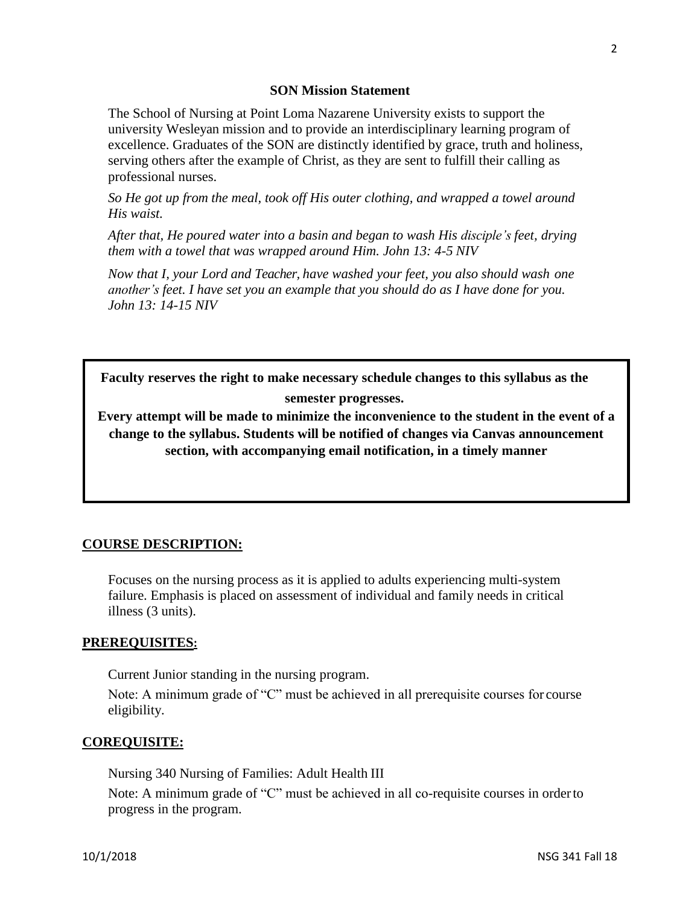2

### **SON Mission Statement**

The School of Nursing at Point Loma Nazarene University exists to support the university Wesleyan mission and to provide an interdisciplinary learning program of excellence. Graduates of the SON are distinctly identified by grace, truth and holiness, serving others after the example of Christ, as they are sent to fulfill their calling as professional nurses.

*So He got up from the meal, took off His outer clothing, and wrapped a towel around His waist.*

*After that, He poured water into a basin and began to wash His disciple's feet, drying them with a towel that was wrapped around Him. John 13: 4-5 NIV*

*Now that I, your Lord and Teacher, have washed your feet, you also should wash one another's feet. I have set you an example that you should do as I have done for you. John 13: 14-15 NIV*

**Faculty reserves the right to make necessary schedule changes to this syllabus as the semester progresses.**

**Every attempt will be made to minimize the inconvenience to the student in the event of a change to the syllabus. Students will be notified of changes via Canvas announcement section, with accompanying email notification, in a timely manner**

### **COURSE DESCRIPTION:**

Focuses on the nursing process as it is applied to adults experiencing multi-system failure. Emphasis is placed on assessment of individual and family needs in critical illness (3 units).

### **PREREQUISITES:**

Current Junior standing in the nursing program.

Note: A minimum grade of "C" must be achieved in all prerequisite courses for course eligibility.

### **COREQUISITE:**

Nursing 340 Nursing of Families: Adult Health III

Note: A minimum grade of "C" must be achieved in all co-requisite courses in orderto progress in the program.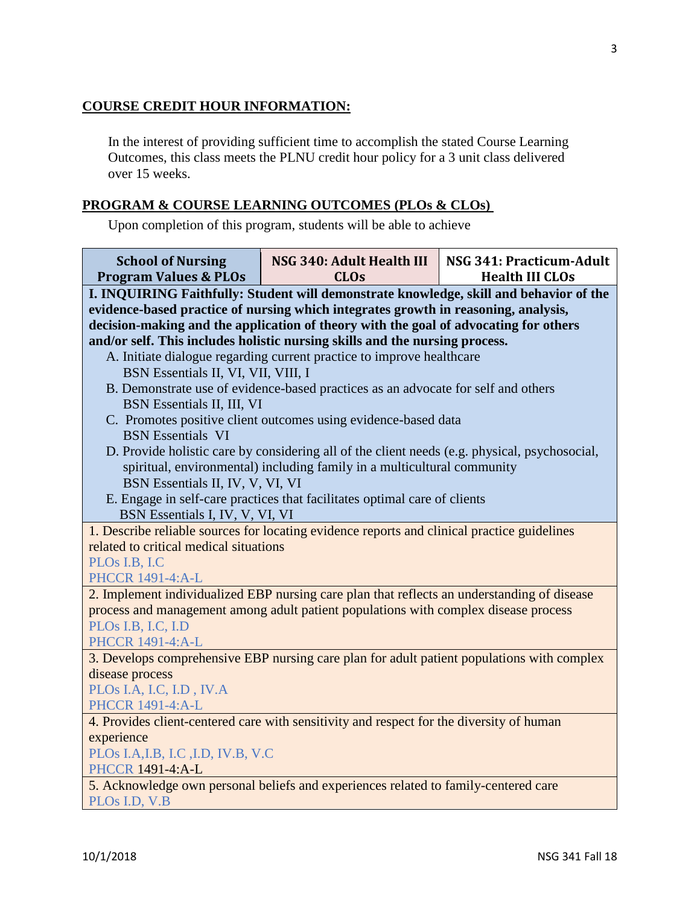### **COURSE CREDIT HOUR INFORMATION:**

In the interest of providing sufficient time to accomplish the stated Course Learning Outcomes, this class meets the PLNU credit hour policy for a 3 unit class delivered over 15 weeks.

### **PROGRAM & COURSE LEARNING OUTCOMES (PLOs & CLOs)**

Upon completion of this program, students will be able to achieve

| <b>School of Nursing</b><br><b>Program Values &amp; PLOs</b>                                                                                                                                                                                                         | NSG 340: Adult Health III<br><b>CLOs</b>                                                      | NSG 341: Practicum-Adult<br><b>Health III CLOs</b> |  |  |  |
|----------------------------------------------------------------------------------------------------------------------------------------------------------------------------------------------------------------------------------------------------------------------|-----------------------------------------------------------------------------------------------|----------------------------------------------------|--|--|--|
| I. INQUIRING Faithfully: Student will demonstrate knowledge, skill and behavior of the<br>evidence-based practice of nursing which integrates growth in reasoning, analysis,<br>decision-making and the application of theory with the goal of advocating for others |                                                                                               |                                                    |  |  |  |
|                                                                                                                                                                                                                                                                      | and/or self. This includes holistic nursing skills and the nursing process.                   |                                                    |  |  |  |
|                                                                                                                                                                                                                                                                      | A. Initiate dialogue regarding current practice to improve healthcare                         |                                                    |  |  |  |
| BSN Essentials II, VI, VII, VIII, I                                                                                                                                                                                                                                  |                                                                                               |                                                    |  |  |  |
|                                                                                                                                                                                                                                                                      | B. Demonstrate use of evidence-based practices as an advocate for self and others             |                                                    |  |  |  |
| BSN Essentials II, III, VI                                                                                                                                                                                                                                           |                                                                                               |                                                    |  |  |  |
| <b>BSN</b> Essentials VI                                                                                                                                                                                                                                             | C. Promotes positive client outcomes using evidence-based data                                |                                                    |  |  |  |
|                                                                                                                                                                                                                                                                      | D. Provide holistic care by considering all of the client needs (e.g. physical, psychosocial, |                                                    |  |  |  |
|                                                                                                                                                                                                                                                                      | spiritual, environmental) including family in a multicultural community                       |                                                    |  |  |  |
| BSN Essentials II, IV, V, VI, VI                                                                                                                                                                                                                                     |                                                                                               |                                                    |  |  |  |
|                                                                                                                                                                                                                                                                      | E. Engage in self-care practices that facilitates optimal care of clients                     |                                                    |  |  |  |
| BSN Essentials I, IV, V, VI, VI                                                                                                                                                                                                                                      |                                                                                               |                                                    |  |  |  |
|                                                                                                                                                                                                                                                                      | 1. Describe reliable sources for locating evidence reports and clinical practice guidelines   |                                                    |  |  |  |
| related to critical medical situations                                                                                                                                                                                                                               |                                                                                               |                                                    |  |  |  |
| PLOs I.B, I.C                                                                                                                                                                                                                                                        |                                                                                               |                                                    |  |  |  |
| <b>PHCCR 1491-4:A-L</b>                                                                                                                                                                                                                                              |                                                                                               |                                                    |  |  |  |
|                                                                                                                                                                                                                                                                      | 2. Implement individualized EBP nursing care plan that reflects an understanding of disease   |                                                    |  |  |  |
|                                                                                                                                                                                                                                                                      | process and management among adult patient populations with complex disease process           |                                                    |  |  |  |
| PLOs I.B, I.C, I.D                                                                                                                                                                                                                                                   |                                                                                               |                                                    |  |  |  |
| <b>PHCCR 1491-4:A-L</b>                                                                                                                                                                                                                                              |                                                                                               |                                                    |  |  |  |
| 3. Develops comprehensive EBP nursing care plan for adult patient populations with complex                                                                                                                                                                           |                                                                                               |                                                    |  |  |  |
| disease process                                                                                                                                                                                                                                                      |                                                                                               |                                                    |  |  |  |
| PLOs I.A, I.C, I.D, IV.A<br><b>PHCCR 1491-4:A-L</b>                                                                                                                                                                                                                  |                                                                                               |                                                    |  |  |  |
| 4. Provides client-centered care with sensitivity and respect for the diversity of human                                                                                                                                                                             |                                                                                               |                                                    |  |  |  |
| experience                                                                                                                                                                                                                                                           |                                                                                               |                                                    |  |  |  |
| PLOs I.A, I.B, I.C, I.D, IV.B, V.C                                                                                                                                                                                                                                   |                                                                                               |                                                    |  |  |  |
| PHCCR 1491-4:A-L                                                                                                                                                                                                                                                     |                                                                                               |                                                    |  |  |  |
| 5. Acknowledge own personal beliefs and experiences related to family-centered care                                                                                                                                                                                  |                                                                                               |                                                    |  |  |  |
| PLO <sub>s</sub> I.D, V.B                                                                                                                                                                                                                                            |                                                                                               |                                                    |  |  |  |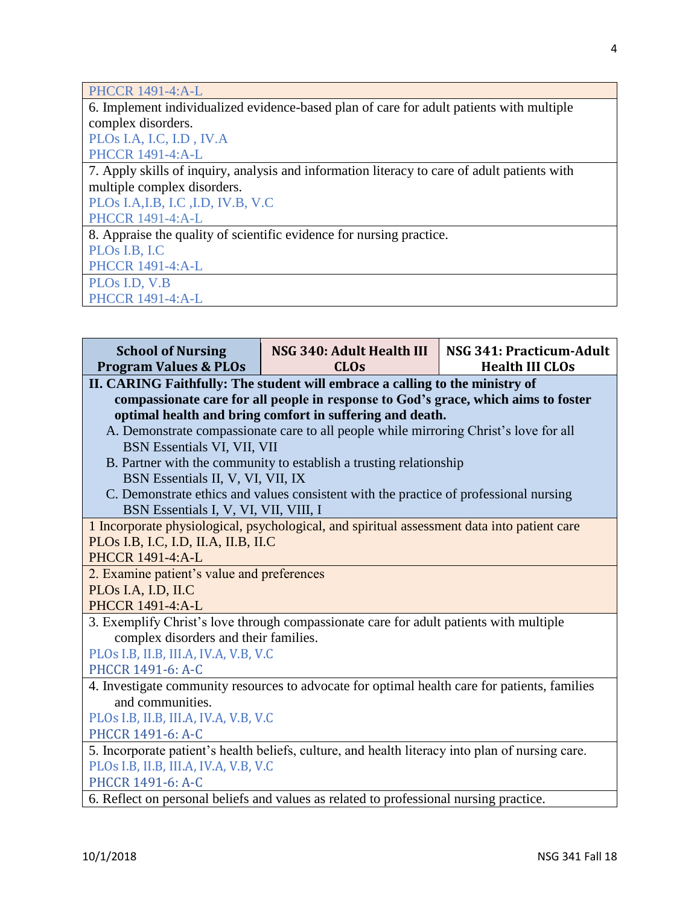| <b>PHCCR 1491-4:A-L</b>                                                                      |
|----------------------------------------------------------------------------------------------|
| 6. Implement individualized evidence-based plan of care for adult patients with multiple     |
| complex disorders.                                                                           |
| PLOs I.A, I.C, I.D, IV.A                                                                     |
| <b>PHCCR 1491-4:A-L</b>                                                                      |
| 7. Apply skills of inquiry, analysis and information literacy to care of adult patients with |
| multiple complex disorders.                                                                  |
| PLOs I.A, I.B, I.C, I.D, IV.B, V.C                                                           |
| <b>PHCCR 1491-4:A-L</b>                                                                      |
| 8. Appraise the quality of scientific evidence for nursing practice.                         |
| PLO <sub>s</sub> I.B, I.C                                                                    |
| <b>PHCCR 1491-4:A-L</b>                                                                      |
| PLO <sub>s</sub> I.D, V.B                                                                    |
| <b>PHCCR 1491-4:A-L</b>                                                                      |

| <b>School of Nursing</b><br><b>Program Values &amp; PLOs</b>                                                                                                                                                                   | NSG 340: Adult Health III<br><b>CLOs</b>                                                                                                                    | NSG 341: Practicum-Adult<br><b>Health III CLOs</b> |  |  |  |
|--------------------------------------------------------------------------------------------------------------------------------------------------------------------------------------------------------------------------------|-------------------------------------------------------------------------------------------------------------------------------------------------------------|----------------------------------------------------|--|--|--|
| II. CARING Faithfully: The student will embrace a calling to the ministry of<br>compassionate care for all people in response to God's grace, which aims to foster<br>optimal health and bring comfort in suffering and death. |                                                                                                                                                             |                                                    |  |  |  |
| BSN Essentials VI, VII, VII<br>BSN Essentials II, V, VI, VII, IX                                                                                                                                                               | A. Demonstrate compassionate care to all people while mirroring Christ's love for all<br>B. Partner with the community to establish a trusting relationship |                                                    |  |  |  |
| BSN Essentials I, V, VI, VII, VIII, I                                                                                                                                                                                          | C. Demonstrate ethics and values consistent with the practice of professional nursing                                                                       |                                                    |  |  |  |
| PLOs I.B, I.C, I.D, II.A, II.B, II.C<br><b>PHCCR 1491-4:A-L</b>                                                                                                                                                                | 1 Incorporate physiological, psychological, and spiritual assessment data into patient care                                                                 |                                                    |  |  |  |
| 2. Examine patient's value and preferences<br>PLOs I.A, I.D, II.C<br><b>PHCCR 1491-4:A-L</b>                                                                                                                                   |                                                                                                                                                             |                                                    |  |  |  |
| complex disorders and their families.<br>PLOs I.B, II.B, III.A, IV.A, V.B, V.C<br>PHCCR 1491-6: A-C                                                                                                                            | 3. Exemplify Christ's love through compassionate care for adult patients with multiple                                                                      |                                                    |  |  |  |
| 4. Investigate community resources to advocate for optimal health care for patients, families<br>and communities.<br>PLOs I.B, II.B, III.A, IV.A, V.B, V.C<br>PHCCR 1491-6: A-C                                                |                                                                                                                                                             |                                                    |  |  |  |
| 5. Incorporate patient's health beliefs, culture, and health literacy into plan of nursing care.<br>PLOs I.B, II.B, III.A, IV.A, V.B, V.C<br>PHCCR 1491-6: A-C                                                                 |                                                                                                                                                             |                                                    |  |  |  |
| 6. Reflect on personal beliefs and values as related to professional nursing practice.                                                                                                                                         |                                                                                                                                                             |                                                    |  |  |  |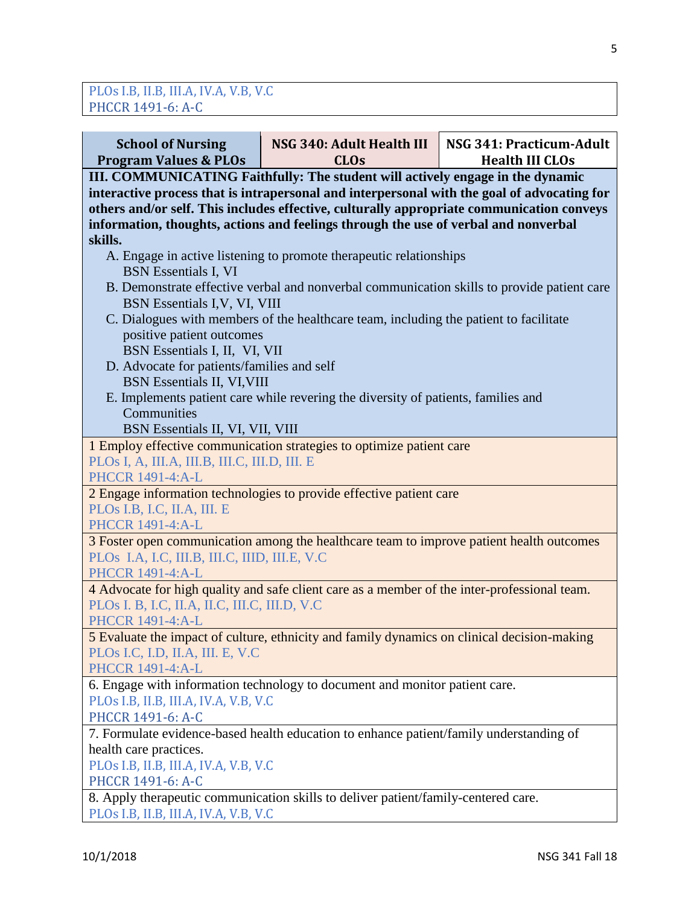| <b>School of Nursing</b><br><b>Program Values &amp; PLOs</b>                                                                                                                                                                                                                                                                                                                                                                                       | NSG 340: Adult Health III<br><b>CLOs</b>                                                   | NSG 341: Practicum-Adult<br><b>Health III CLOs</b> |  |  |  |
|----------------------------------------------------------------------------------------------------------------------------------------------------------------------------------------------------------------------------------------------------------------------------------------------------------------------------------------------------------------------------------------------------------------------------------------------------|--------------------------------------------------------------------------------------------|----------------------------------------------------|--|--|--|
| III. COMMUNICATING Faithfully: The student will actively engage in the dynamic<br>interactive process that is intrapersonal and interpersonal with the goal of advocating for<br>others and/or self. This includes effective, culturally appropriate communication conveys<br>information, thoughts, actions and feelings through the use of verbal and nonverbal<br>skills.<br>A. Engage in active listening to promote therapeutic relationships |                                                                                            |                                                    |  |  |  |
| <b>BSN</b> Essentials I, VI<br>BSN Essentials I, V, VI, VIII                                                                                                                                                                                                                                                                                                                                                                                       | B. Demonstrate effective verbal and nonverbal communication skills to provide patient care |                                                    |  |  |  |
| positive patient outcomes<br>BSN Essentials I, II, VI, VII                                                                                                                                                                                                                                                                                                                                                                                         | C. Dialogues with members of the healthcare team, including the patient to facilitate      |                                                    |  |  |  |
| D. Advocate for patients/families and self<br><b>BSN</b> Essentials II, VI, VIII<br>Communities                                                                                                                                                                                                                                                                                                                                                    | E. Implements patient care while revering the diversity of patients, families and          |                                                    |  |  |  |
| BSN Essentials II, VI, VII, VIII                                                                                                                                                                                                                                                                                                                                                                                                                   |                                                                                            |                                                    |  |  |  |
|                                                                                                                                                                                                                                                                                                                                                                                                                                                    | 1 Employ effective communication strategies to optimize patient care                       |                                                    |  |  |  |
| PLOs I, A, III.A, III.B, III.C, III.D, III. E<br><b>PHCCR 1491-4:A-L</b>                                                                                                                                                                                                                                                                                                                                                                           |                                                                                            |                                                    |  |  |  |
| PLOs I.B, I.C, II.A, III. E<br>PHCCR 1491-4:A-L                                                                                                                                                                                                                                                                                                                                                                                                    | 2 Engage information technologies to provide effective patient care                        |                                                    |  |  |  |
| PLOS I.A, I.C, III.B, III.C, IIID, III.E, V.C<br>PHCCR 1491-4:A-L                                                                                                                                                                                                                                                                                                                                                                                  | 3 Foster open communication among the healthcare team to improve patient health outcomes   |                                                    |  |  |  |
| 4 Advocate for high quality and safe client care as a member of the inter-professional team.<br>PLOs I. B, I.C, II.A, II.C, III.C, III.D, V.C<br><b>PHCCR 1491-4:A-L</b>                                                                                                                                                                                                                                                                           |                                                                                            |                                                    |  |  |  |
| 5 Evaluate the impact of culture, ethnicity and family dynamics on clinical decision-making<br>PLOs I.C, I.D, II.A, III. E, V.C<br><b>PHCCR 1491-4:A-L</b>                                                                                                                                                                                                                                                                                         |                                                                                            |                                                    |  |  |  |
| PLOs I.B, II.B, III.A, IV.A, V.B, V.C<br>PHCCR 1491-6: A-C                                                                                                                                                                                                                                                                                                                                                                                         | 6. Engage with information technology to document and monitor patient care.                |                                                    |  |  |  |
|                                                                                                                                                                                                                                                                                                                                                                                                                                                    | 7. Formulate evidence-based health education to enhance patient/family understanding of    |                                                    |  |  |  |
| health care practices.                                                                                                                                                                                                                                                                                                                                                                                                                             |                                                                                            |                                                    |  |  |  |
| PLOs I.B, II.B, III.A, IV.A, V.B, V.C                                                                                                                                                                                                                                                                                                                                                                                                              |                                                                                            |                                                    |  |  |  |
| PHCCR 1491-6: A-C<br>8. Apply therapeutic communication skills to deliver patient/family-centered care.                                                                                                                                                                                                                                                                                                                                            |                                                                                            |                                                    |  |  |  |
| PLOs I.B, II.B, III.A, IV.A, V.B, V.C                                                                                                                                                                                                                                                                                                                                                                                                              |                                                                                            |                                                    |  |  |  |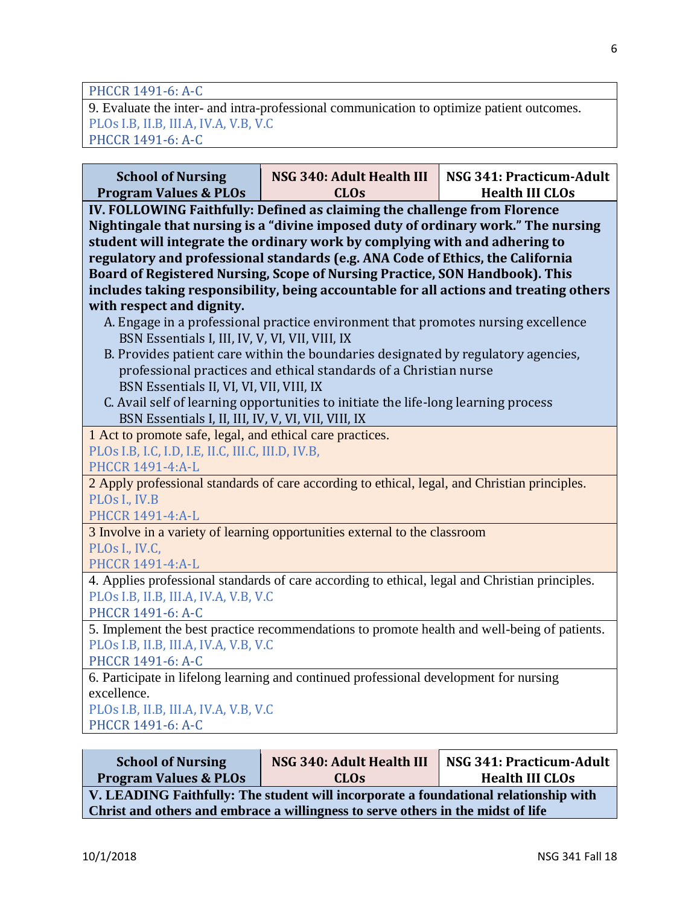PHCCR 1491-6: A-C

9. Evaluate the inter- and intra-professional communication to optimize patient outcomes. PLOs I.B, II.B, III.A, IV.A, V.B, V.C PHCCR 1491-6: A-C

| <b>School of Nursing</b><br>NSG 340: Adult Health III<br>NSG 341: Practicum-Adult<br><b>Program Values &amp; PLOs</b><br><b>CLOs</b><br><b>Health III CLOs</b><br>IV. FOLLOWING Faithfully: Defined as claiming the challenge from Florence<br>Nightingale that nursing is a "divine imposed duty of ordinary work." The nursing<br>student will integrate the ordinary work by complying with and adhering to<br>regulatory and professional standards (e.g. ANA Code of Ethics, the California<br>Board of Registered Nursing, Scope of Nursing Practice, SON Handbook). This<br>includes taking responsibility, being accountable for all actions and treating others<br>with respect and dignity.<br>A. Engage in a professional practice environment that promotes nursing excellence<br>BSN Essentials I, III, IV, V, VI, VII, VIII, IX<br>B. Provides patient care within the boundaries designated by regulatory agencies,<br>professional practices and ethical standards of a Christian nurse<br>BSN Essentials II, VI, VI, VII, VIII, IX<br>C. Avail self of learning opportunities to initiate the life-long learning process<br>BSN Essentials I, II, III, IV, V, VI, VII, VIII, IX<br>1 Act to promote safe, legal, and ethical care practices.<br>PLOs I.B, I.C, I.D, I.E, II.C, III.C, III.D, IV.B,<br>PHCCR 1491-4:A-L<br>2 Apply professional standards of care according to ethical, legal, and Christian principles.<br>PLOs I., IV.B<br>PHCCR 1491-4:A-L<br>3 Involve in a variety of learning opportunities external to the classroom<br>PLOs I., IV.C,<br>PHCCR 1491-4:A-L<br>4. Applies professional standards of care according to ethical, legal and Christian principles.<br>PLOs I.B, II.B, III.A, IV.A, V.B, V.C<br>PHCCR 1491-6: A-C<br>5. Implement the best practice recommendations to promote health and well-being of patients.<br>PLOs I.B, II.B, III.A, IV.A, V.B, V.C<br>PHCCR 1491-6: A-C<br>6. Participate in lifelong learning and continued professional development for nursing<br>excellence.<br>PLOs I.B, II.B, III.A, IV.A, V.B, V.C<br>PHCCR 1491-6: A-C |  |  |  |  |  |  |  |
|---------------------------------------------------------------------------------------------------------------------------------------------------------------------------------------------------------------------------------------------------------------------------------------------------------------------------------------------------------------------------------------------------------------------------------------------------------------------------------------------------------------------------------------------------------------------------------------------------------------------------------------------------------------------------------------------------------------------------------------------------------------------------------------------------------------------------------------------------------------------------------------------------------------------------------------------------------------------------------------------------------------------------------------------------------------------------------------------------------------------------------------------------------------------------------------------------------------------------------------------------------------------------------------------------------------------------------------------------------------------------------------------------------------------------------------------------------------------------------------------------------------------------------------------------------------------------------------------------------------------------------------------------------------------------------------------------------------------------------------------------------------------------------------------------------------------------------------------------------------------------------------------------------------------------------------------------------------------------------------------------------------------------------------------------------------------------------------------------------|--|--|--|--|--|--|--|
|                                                                                                                                                                                                                                                                                                                                                                                                                                                                                                                                                                                                                                                                                                                                                                                                                                                                                                                                                                                                                                                                                                                                                                                                                                                                                                                                                                                                                                                                                                                                                                                                                                                                                                                                                                                                                                                                                                                                                                                                                                                                                                         |  |  |  |  |  |  |  |
|                                                                                                                                                                                                                                                                                                                                                                                                                                                                                                                                                                                                                                                                                                                                                                                                                                                                                                                                                                                                                                                                                                                                                                                                                                                                                                                                                                                                                                                                                                                                                                                                                                                                                                                                                                                                                                                                                                                                                                                                                                                                                                         |  |  |  |  |  |  |  |
|                                                                                                                                                                                                                                                                                                                                                                                                                                                                                                                                                                                                                                                                                                                                                                                                                                                                                                                                                                                                                                                                                                                                                                                                                                                                                                                                                                                                                                                                                                                                                                                                                                                                                                                                                                                                                                                                                                                                                                                                                                                                                                         |  |  |  |  |  |  |  |
|                                                                                                                                                                                                                                                                                                                                                                                                                                                                                                                                                                                                                                                                                                                                                                                                                                                                                                                                                                                                                                                                                                                                                                                                                                                                                                                                                                                                                                                                                                                                                                                                                                                                                                                                                                                                                                                                                                                                                                                                                                                                                                         |  |  |  |  |  |  |  |
|                                                                                                                                                                                                                                                                                                                                                                                                                                                                                                                                                                                                                                                                                                                                                                                                                                                                                                                                                                                                                                                                                                                                                                                                                                                                                                                                                                                                                                                                                                                                                                                                                                                                                                                                                                                                                                                                                                                                                                                                                                                                                                         |  |  |  |  |  |  |  |
|                                                                                                                                                                                                                                                                                                                                                                                                                                                                                                                                                                                                                                                                                                                                                                                                                                                                                                                                                                                                                                                                                                                                                                                                                                                                                                                                                                                                                                                                                                                                                                                                                                                                                                                                                                                                                                                                                                                                                                                                                                                                                                         |  |  |  |  |  |  |  |
|                                                                                                                                                                                                                                                                                                                                                                                                                                                                                                                                                                                                                                                                                                                                                                                                                                                                                                                                                                                                                                                                                                                                                                                                                                                                                                                                                                                                                                                                                                                                                                                                                                                                                                                                                                                                                                                                                                                                                                                                                                                                                                         |  |  |  |  |  |  |  |
|                                                                                                                                                                                                                                                                                                                                                                                                                                                                                                                                                                                                                                                                                                                                                                                                                                                                                                                                                                                                                                                                                                                                                                                                                                                                                                                                                                                                                                                                                                                                                                                                                                                                                                                                                                                                                                                                                                                                                                                                                                                                                                         |  |  |  |  |  |  |  |
|                                                                                                                                                                                                                                                                                                                                                                                                                                                                                                                                                                                                                                                                                                                                                                                                                                                                                                                                                                                                                                                                                                                                                                                                                                                                                                                                                                                                                                                                                                                                                                                                                                                                                                                                                                                                                                                                                                                                                                                                                                                                                                         |  |  |  |  |  |  |  |
|                                                                                                                                                                                                                                                                                                                                                                                                                                                                                                                                                                                                                                                                                                                                                                                                                                                                                                                                                                                                                                                                                                                                                                                                                                                                                                                                                                                                                                                                                                                                                                                                                                                                                                                                                                                                                                                                                                                                                                                                                                                                                                         |  |  |  |  |  |  |  |
|                                                                                                                                                                                                                                                                                                                                                                                                                                                                                                                                                                                                                                                                                                                                                                                                                                                                                                                                                                                                                                                                                                                                                                                                                                                                                                                                                                                                                                                                                                                                                                                                                                                                                                                                                                                                                                                                                                                                                                                                                                                                                                         |  |  |  |  |  |  |  |
|                                                                                                                                                                                                                                                                                                                                                                                                                                                                                                                                                                                                                                                                                                                                                                                                                                                                                                                                                                                                                                                                                                                                                                                                                                                                                                                                                                                                                                                                                                                                                                                                                                                                                                                                                                                                                                                                                                                                                                                                                                                                                                         |  |  |  |  |  |  |  |
|                                                                                                                                                                                                                                                                                                                                                                                                                                                                                                                                                                                                                                                                                                                                                                                                                                                                                                                                                                                                                                                                                                                                                                                                                                                                                                                                                                                                                                                                                                                                                                                                                                                                                                                                                                                                                                                                                                                                                                                                                                                                                                         |  |  |  |  |  |  |  |
|                                                                                                                                                                                                                                                                                                                                                                                                                                                                                                                                                                                                                                                                                                                                                                                                                                                                                                                                                                                                                                                                                                                                                                                                                                                                                                                                                                                                                                                                                                                                                                                                                                                                                                                                                                                                                                                                                                                                                                                                                                                                                                         |  |  |  |  |  |  |  |
|                                                                                                                                                                                                                                                                                                                                                                                                                                                                                                                                                                                                                                                                                                                                                                                                                                                                                                                                                                                                                                                                                                                                                                                                                                                                                                                                                                                                                                                                                                                                                                                                                                                                                                                                                                                                                                                                                                                                                                                                                                                                                                         |  |  |  |  |  |  |  |
|                                                                                                                                                                                                                                                                                                                                                                                                                                                                                                                                                                                                                                                                                                                                                                                                                                                                                                                                                                                                                                                                                                                                                                                                                                                                                                                                                                                                                                                                                                                                                                                                                                                                                                                                                                                                                                                                                                                                                                                                                                                                                                         |  |  |  |  |  |  |  |
|                                                                                                                                                                                                                                                                                                                                                                                                                                                                                                                                                                                                                                                                                                                                                                                                                                                                                                                                                                                                                                                                                                                                                                                                                                                                                                                                                                                                                                                                                                                                                                                                                                                                                                                                                                                                                                                                                                                                                                                                                                                                                                         |  |  |  |  |  |  |  |
|                                                                                                                                                                                                                                                                                                                                                                                                                                                                                                                                                                                                                                                                                                                                                                                                                                                                                                                                                                                                                                                                                                                                                                                                                                                                                                                                                                                                                                                                                                                                                                                                                                                                                                                                                                                                                                                                                                                                                                                                                                                                                                         |  |  |  |  |  |  |  |
|                                                                                                                                                                                                                                                                                                                                                                                                                                                                                                                                                                                                                                                                                                                                                                                                                                                                                                                                                                                                                                                                                                                                                                                                                                                                                                                                                                                                                                                                                                                                                                                                                                                                                                                                                                                                                                                                                                                                                                                                                                                                                                         |  |  |  |  |  |  |  |
|                                                                                                                                                                                                                                                                                                                                                                                                                                                                                                                                                                                                                                                                                                                                                                                                                                                                                                                                                                                                                                                                                                                                                                                                                                                                                                                                                                                                                                                                                                                                                                                                                                                                                                                                                                                                                                                                                                                                                                                                                                                                                                         |  |  |  |  |  |  |  |
|                                                                                                                                                                                                                                                                                                                                                                                                                                                                                                                                                                                                                                                                                                                                                                                                                                                                                                                                                                                                                                                                                                                                                                                                                                                                                                                                                                                                                                                                                                                                                                                                                                                                                                                                                                                                                                                                                                                                                                                                                                                                                                         |  |  |  |  |  |  |  |
|                                                                                                                                                                                                                                                                                                                                                                                                                                                                                                                                                                                                                                                                                                                                                                                                                                                                                                                                                                                                                                                                                                                                                                                                                                                                                                                                                                                                                                                                                                                                                                                                                                                                                                                                                                                                                                                                                                                                                                                                                                                                                                         |  |  |  |  |  |  |  |
|                                                                                                                                                                                                                                                                                                                                                                                                                                                                                                                                                                                                                                                                                                                                                                                                                                                                                                                                                                                                                                                                                                                                                                                                                                                                                                                                                                                                                                                                                                                                                                                                                                                                                                                                                                                                                                                                                                                                                                                                                                                                                                         |  |  |  |  |  |  |  |
|                                                                                                                                                                                                                                                                                                                                                                                                                                                                                                                                                                                                                                                                                                                                                                                                                                                                                                                                                                                                                                                                                                                                                                                                                                                                                                                                                                                                                                                                                                                                                                                                                                                                                                                                                                                                                                                                                                                                                                                                                                                                                                         |  |  |  |  |  |  |  |
|                                                                                                                                                                                                                                                                                                                                                                                                                                                                                                                                                                                                                                                                                                                                                                                                                                                                                                                                                                                                                                                                                                                                                                                                                                                                                                                                                                                                                                                                                                                                                                                                                                                                                                                                                                                                                                                                                                                                                                                                                                                                                                         |  |  |  |  |  |  |  |
|                                                                                                                                                                                                                                                                                                                                                                                                                                                                                                                                                                                                                                                                                                                                                                                                                                                                                                                                                                                                                                                                                                                                                                                                                                                                                                                                                                                                                                                                                                                                                                                                                                                                                                                                                                                                                                                                                                                                                                                                                                                                                                         |  |  |  |  |  |  |  |
|                                                                                                                                                                                                                                                                                                                                                                                                                                                                                                                                                                                                                                                                                                                                                                                                                                                                                                                                                                                                                                                                                                                                                                                                                                                                                                                                                                                                                                                                                                                                                                                                                                                                                                                                                                                                                                                                                                                                                                                                                                                                                                         |  |  |  |  |  |  |  |
|                                                                                                                                                                                                                                                                                                                                                                                                                                                                                                                                                                                                                                                                                                                                                                                                                                                                                                                                                                                                                                                                                                                                                                                                                                                                                                                                                                                                                                                                                                                                                                                                                                                                                                                                                                                                                                                                                                                                                                                                                                                                                                         |  |  |  |  |  |  |  |
|                                                                                                                                                                                                                                                                                                                                                                                                                                                                                                                                                                                                                                                                                                                                                                                                                                                                                                                                                                                                                                                                                                                                                                                                                                                                                                                                                                                                                                                                                                                                                                                                                                                                                                                                                                                                                                                                                                                                                                                                                                                                                                         |  |  |  |  |  |  |  |
|                                                                                                                                                                                                                                                                                                                                                                                                                                                                                                                                                                                                                                                                                                                                                                                                                                                                                                                                                                                                                                                                                                                                                                                                                                                                                                                                                                                                                                                                                                                                                                                                                                                                                                                                                                                                                                                                                                                                                                                                                                                                                                         |  |  |  |  |  |  |  |
|                                                                                                                                                                                                                                                                                                                                                                                                                                                                                                                                                                                                                                                                                                                                                                                                                                                                                                                                                                                                                                                                                                                                                                                                                                                                                                                                                                                                                                                                                                                                                                                                                                                                                                                                                                                                                                                                                                                                                                                                                                                                                                         |  |  |  |  |  |  |  |
|                                                                                                                                                                                                                                                                                                                                                                                                                                                                                                                                                                                                                                                                                                                                                                                                                                                                                                                                                                                                                                                                                                                                                                                                                                                                                                                                                                                                                                                                                                                                                                                                                                                                                                                                                                                                                                                                                                                                                                                                                                                                                                         |  |  |  |  |  |  |  |
|                                                                                                                                                                                                                                                                                                                                                                                                                                                                                                                                                                                                                                                                                                                                                                                                                                                                                                                                                                                                                                                                                                                                                                                                                                                                                                                                                                                                                                                                                                                                                                                                                                                                                                                                                                                                                                                                                                                                                                                                                                                                                                         |  |  |  |  |  |  |  |
|                                                                                                                                                                                                                                                                                                                                                                                                                                                                                                                                                                                                                                                                                                                                                                                                                                                                                                                                                                                                                                                                                                                                                                                                                                                                                                                                                                                                                                                                                                                                                                                                                                                                                                                                                                                                                                                                                                                                                                                                                                                                                                         |  |  |  |  |  |  |  |
|                                                                                                                                                                                                                                                                                                                                                                                                                                                                                                                                                                                                                                                                                                                                                                                                                                                                                                                                                                                                                                                                                                                                                                                                                                                                                                                                                                                                                                                                                                                                                                                                                                                                                                                                                                                                                                                                                                                                                                                                                                                                                                         |  |  |  |  |  |  |  |

| <b>School of Nursing</b>                                                             | NSG 340: Adult Health III | NSG 341: Practicum-Adult |  |  |  |
|--------------------------------------------------------------------------------------|---------------------------|--------------------------|--|--|--|
| <b>Program Values &amp; PLOS</b>                                                     | <b>CLOs</b>               | <b>Health III CLOs</b>   |  |  |  |
| V. LEADING Faithfully: The student will incorporate a foundational relationship with |                           |                          |  |  |  |
| Christ and others and embrace a willingness to serve others in the midst of life     |                           |                          |  |  |  |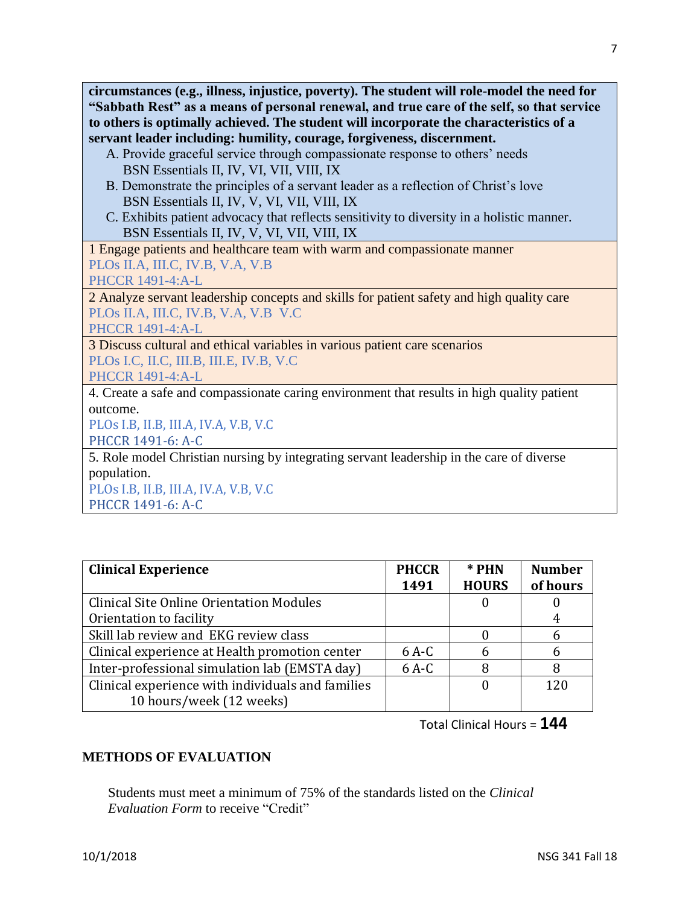**circumstances (e.g., illness, injustice, poverty). The student will role-model the need for "Sabbath Rest" as a means of personal renewal, and true care of the self, so that service to others is optimally achieved. The student will incorporate the characteristics of a servant leader including: humility, courage, forgiveness, discernment.**

- A. Provide graceful service through compassionate response to others' needs BSN Essentials II, IV, VI, VII, VIII, IX
- B. Demonstrate the principles of a servant leader as a reflection of Christ's love BSN Essentials II, IV, V, VI, VII, VIII, IX
- C. Exhibits patient advocacy that reflects sensitivity to diversity in a holistic manner. BSN Essentials II, IV, V, VI, VII, VIII, IX

1 Engage patients and healthcare team with warm and compassionate manner PLOs II.A, III.C, IV.B, V.A, V.B

PHCCR 1491-4:A-L

2 Analyze servant leadership concepts and skills for patient safety and high quality care PLOs II.A, III.C, IV.B, V.A, V.B V.C

PHCCR 1491-4:A-L

3 Discuss cultural and ethical variables in various patient care scenarios PLOs I.C, II.C, III.B, III.E, IV.B, V.C

PHCCR 1491-4:A-L

4. Create a safe and compassionate caring environment that results in high quality patient outcome.

PLOs I.B, II.B, III.A, IV.A, V.B, V.C

PHCCR 1491-6: A-C

5. Role model Christian nursing by integrating servant leadership in the care of diverse population.

PLOs I.B, II.B, III.A, IV.A, V.B, V.C PHCCR 1491-6: A-C

| <b>Clinical Experience</b>                        | <b>PHCCR</b><br>1491 | * PHN<br><b>HOURS</b> | <b>Number</b><br>of hours |
|---------------------------------------------------|----------------------|-----------------------|---------------------------|
| <b>Clinical Site Online Orientation Modules</b>   |                      |                       |                           |
| Orientation to facility                           |                      |                       |                           |
| Skill lab review and EKG review class             |                      |                       | n                         |
| Clinical experience at Health promotion center    | $6A-C$               | h                     | h                         |
| Inter-professional simulation lab (EMSTA day)     | $6A-C$               | 8                     |                           |
| Clinical experience with individuals and families |                      |                       | 120                       |
| 10 hours/week (12 weeks)                          |                      |                       |                           |

Total Clinical Hours = **144**

### **METHODS OF EVALUATION**

Students must meet a minimum of 75% of the standards listed on the *Clinical Evaluation Form* to receive "Credit"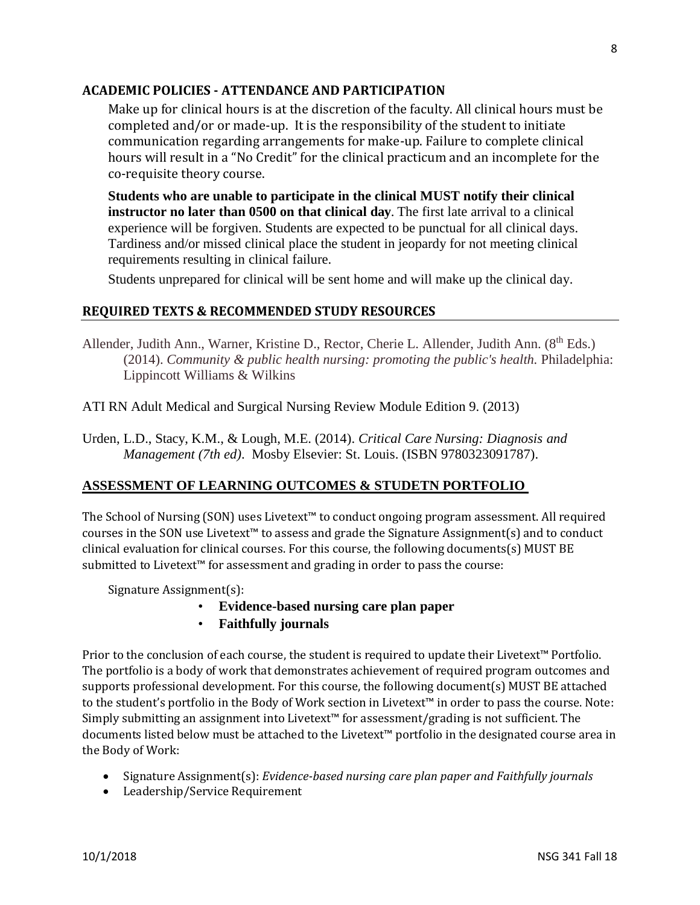### **ACADEMIC POLICIES - ATTENDANCE AND PARTICIPATION**

Make up for clinical hours is at the discretion of the faculty. All clinical hours must be completed and/or or made-up. It is the responsibility of the student to initiate communication regarding arrangements for make-up. Failure to complete clinical hours will result in a "No Credit" for the clinical practicum and an incomplete for the co-requisite theory course.

**Students who are unable to participate in the clinical MUST notify their clinical instructor no later than 0500 on that clinical day**. The first late arrival to a clinical experience will be forgiven. Students are expected to be punctual for all clinical days. Tardiness and/or missed clinical place the student in jeopardy for not meeting clinical requirements resulting in clinical failure.

Students unprepared for clinical will be sent home and will make up the clinical day.

### **REQUIRED TEXTS & RECOMMENDED STUDY RESOURCES**

Allender, Judith Ann., Warner, Kristine D., Rector, Cherie L. Allender, Judith Ann. (8<sup>th</sup> Eds.) (2014). *Community & public health nursing: promoting the public's health.* Philadelphia: Lippincott Williams & Wilkins

ATI RN Adult Medical and Surgical Nursing Review Module Edition 9. (2013)

Urden, L.D., Stacy, K.M., & Lough, M.E. (2014). *Critical Care Nursing: Diagnosis and Management (7th ed)*. Mosby Elsevier: St. Louis. (ISBN 9780323091787).

### **ASSESSMENT OF LEARNING OUTCOMES & STUDETN PORTFOLIO**

The School of Nursing (SON) uses Livetext™ to conduct ongoing program assessment. All required courses in the SON use Livetext™ to assess and grade the Signature Assignment(s) and to conduct clinical evaluation for clinical courses. For this course, the following documents(s) MUST BE submitted to Livetext™ for assessment and grading in order to pass the course:

Signature Assignment(s):

- **Evidence-based nursing care plan paper**
- **Faithfully journals**

Prior to the conclusion of each course, the student is required to update their Livetext™ Portfolio. The portfolio is a body of work that demonstrates achievement of required program outcomes and supports professional development. For this course, the following document(s) MUST BE attached to the student's portfolio in the Body of Work section in Livetext™ in order to pass the course. Note: Simply submitting an assignment into Livetext™ for assessment/grading is not sufficient. The documents listed below must be attached to the Livetext™ portfolio in the designated course area in the Body of Work:

- Signature Assignment(s): *Evidence-based nursing care plan paper and Faithfully journals*
- Leadership/Service Requirement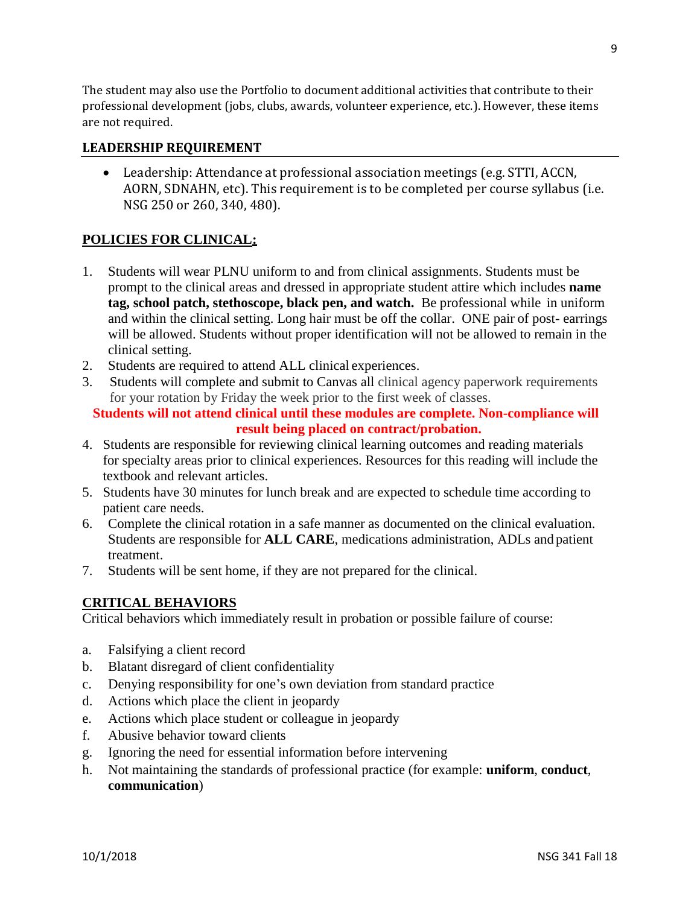The student may also use the Portfolio to document additional activities that contribute to their professional development (jobs, clubs, awards, volunteer experience, etc.). However, these items are not required.

### **LEADERSHIP REQUIREMENT**

• Leadership: Attendance at professional association meetings (e.g. STTI, ACCN, AORN, SDNAHN, etc). This requirement is to be completed per course syllabus (i.e. NSG 250 or 260, 340, 480).

### **POLICIES FOR CLINICAL:**

- 1. Students will wear PLNU uniform to and from clinical assignments. Students must be prompt to the clinical areas and dressed in appropriate student attire which includes **name tag, school patch, stethoscope, black pen, and watch.** Be professional while in uniform and within the clinical setting. Long hair must be off the collar. ONE pair of post- earrings will be allowed. Students without proper identification will not be allowed to remain in the clinical setting.
- 2. Students are required to attend ALL clinical experiences.
- 3. Students will complete and submit to Canvas all clinical agency paperwork requirements for your rotation by Friday the week prior to the first week of classes.

### **Students will not attend clinical until these modules are complete. Non-compliance will result being placed on contract/probation.**

- 4. Students are responsible for reviewing clinical learning outcomes and reading materials for specialty areas prior to clinical experiences. Resources for this reading will include the textbook and relevant articles.
- 5. Students have 30 minutes for lunch break and are expected to schedule time according to patient care needs.
- 6. Complete the clinical rotation in a safe manner as documented on the clinical evaluation. Students are responsible for **ALL CARE**, medications administration, ADLs and patient treatment.
- 7. Students will be sent home, if they are not prepared for the clinical.

### **CRITICAL BEHAVIORS**

Critical behaviors which immediately result in probation or possible failure of course:

- a. Falsifying a client record
- b. Blatant disregard of client confidentiality
- c. Denying responsibility for one's own deviation from standard practice
- d. Actions which place the client in jeopardy
- e. Actions which place student or colleague in jeopardy
- f. Abusive behavior toward clients
- g. Ignoring the need for essential information before intervening
- h. Not maintaining the standards of professional practice (for example: **uniform**, **conduct**, **communication**)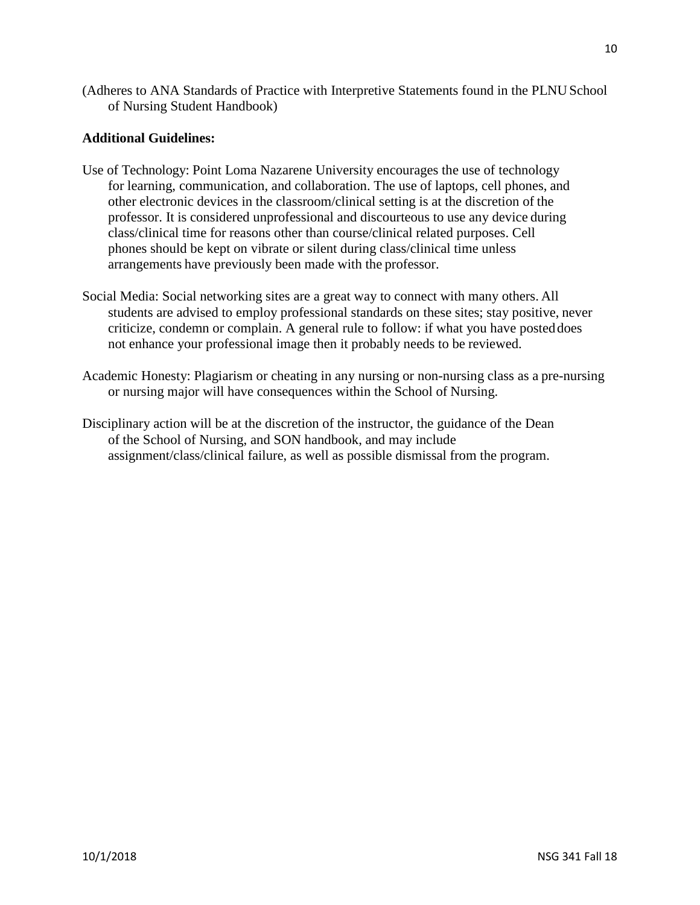(Adheres to ANA Standards of Practice with Interpretive Statements found in the PLNU School of Nursing Student Handbook)

### **Additional Guidelines:**

- Use of Technology: Point Loma Nazarene University encourages the use of technology for learning, communication, and collaboration. The use of laptops, cell phones, and other electronic devices in the classroom/clinical setting is at the discretion of the professor. It is considered unprofessional and discourteous to use any device during class/clinical time for reasons other than course/clinical related purposes. Cell phones should be kept on vibrate or silent during class/clinical time unless arrangements have previously been made with the professor.
- Social Media: Social networking sites are a great way to connect with many others. All students are advised to employ professional standards on these sites; stay positive, never criticize, condemn or complain. A general rule to follow: if what you have posteddoes not enhance your professional image then it probably needs to be reviewed.
- Academic Honesty: Plagiarism or cheating in any nursing or non-nursing class as a pre-nursing or nursing major will have consequences within the School of Nursing.
- Disciplinary action will be at the discretion of the instructor, the guidance of the Dean of the School of Nursing, and SON handbook, and may include assignment/class/clinical failure, as well as possible dismissal from the program.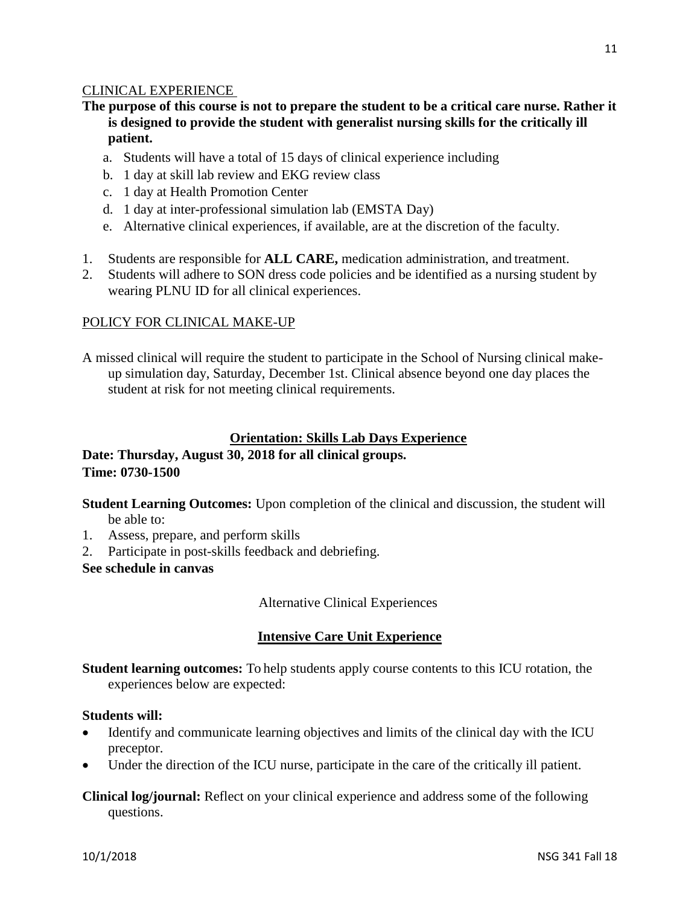### CLINICAL EXPERIENCE

### **The purpose of this course is not to prepare the student to be a critical care nurse. Rather it is designed to provide the student with generalist nursing skills for the critically ill patient.**

- a. Students will have a total of 15 days of clinical experience including
- b. 1 day at skill lab review and EKG review class
- c. 1 day at Health Promotion Center
- d. 1 day at inter-professional simulation lab (EMSTA Day)
- e. Alternative clinical experiences, if available, are at the discretion of the faculty.
- 1. Students are responsible for **ALL CARE,** medication administration, and treatment.
- 2. Students will adhere to SON dress code policies and be identified as a nursing student by wearing PLNU ID for all clinical experiences.

#### POLICY FOR CLINICAL MAKE-UP

A missed clinical will require the student to participate in the School of Nursing clinical makeup simulation day, Saturday, December 1st. Clinical absence beyond one day places the student at risk for not meeting clinical requirements.

### **Orientation: Skills Lab Days Experience**

### **Date: Thursday, August 30, 2018 for all clinical groups. Time: 0730-1500**

**Student Learning Outcomes:** Upon completion of the clinical and discussion, the student will be able to:

- 1. Assess, prepare, and perform skills
- 2. Participate in post-skills feedback and debriefing.

**See schedule in canvas**

Alternative Clinical Experiences

### **Intensive Care Unit Experience**

**Student learning outcomes:** To help students apply course contents to this ICU rotation, the experiences below are expected:

#### **Students will:**

- Identify and communicate learning objectives and limits of the clinical day with the ICU preceptor.
- Under the direction of the ICU nurse, participate in the care of the critically ill patient.

**Clinical log/journal:** Reflect on your clinical experience and address some of the following questions.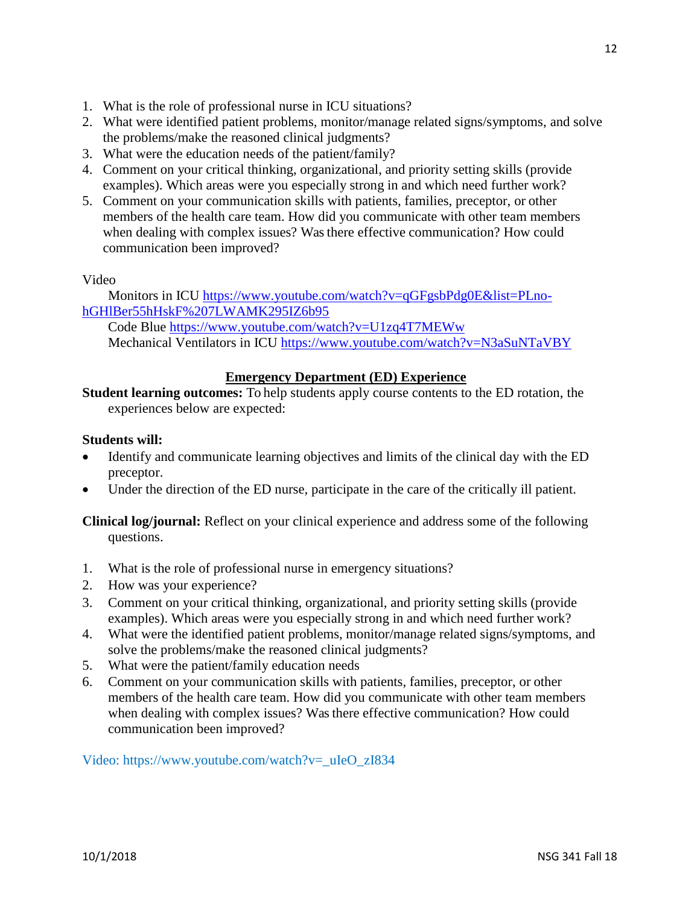- 1. What is the role of professional nurse in ICU situations?
- 2. What were identified patient problems, monitor/manage related signs/symptoms, and solve the problems/make the reasoned clinical judgments?
- 3. What were the education needs of the patient/family?
- 4. Comment on your critical thinking, organizational, and priority setting skills (provide examples). Which areas were you especially strong in and which need further work?
- 5. Comment on your communication skills with patients, families, preceptor, or other members of the health care team. How did you communicate with other team members when dealing with complex issues? Was there effective communication? How could communication been improved?

### Video

Monitors in ICU [https://www.youtube.com/watch?v=qGFgsbPdg0E&list=PLno](https://www.youtube.com/watch?v=qGFgsbPdg0E&list=PLno-hGHlBer55hHskF%207LWAMK295IZ6b95)[hGHlBer55hHskF%207LWAMK295IZ6b95](https://www.youtube.com/watch?v=qGFgsbPdg0E&list=PLno-hGHlBer55hHskF%207LWAMK295IZ6b95)

Code Blue<https://www.youtube.com/watch?v=U1zq4T7MEWw> Mechanical Ventilators in ICU<https://www.youtube.com/watch?v=N3aSuNTaVBY>

### **Emergency Department (ED) Experience**

**Student learning outcomes:** To help students apply course contents to the ED rotation, the experiences below are expected:

### **Students will:**

- Identify and communicate learning objectives and limits of the clinical day with the ED preceptor.
- Under the direction of the ED nurse, participate in the care of the critically ill patient.

**Clinical log/journal:** Reflect on your clinical experience and address some of the following questions.

- 1. What is the role of professional nurse in emergency situations?
- 2. How was your experience?
- 3. Comment on your critical thinking, organizational, and priority setting skills (provide examples). Which areas were you especially strong in and which need further work?
- 4. What were the identified patient problems, monitor/manage related signs/symptoms, and solve the problems/make the reasoned clinical judgments?
- 5. What were the patient/family education needs
- 6. Comment on your communication skills with patients, families, preceptor, or other members of the health care team. How did you communicate with other team members when dealing with complex issues? Was there effective communication? How could communication been improved?

Video: https://www.youtube.com/watch?v=\_uIeO\_zI834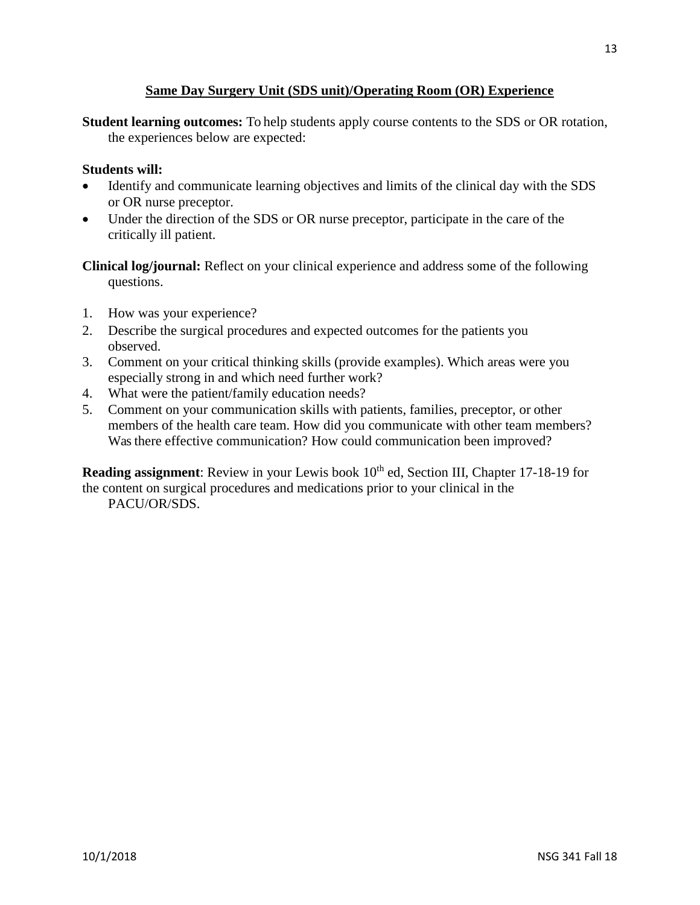### **Same Day Surgery Unit (SDS unit)/Operating Room (OR) Experience**

**Student learning outcomes:** To help students apply course contents to the SDS or OR rotation, the experiences below are expected:

### **Students will:**

- Identify and communicate learning objectives and limits of the clinical day with the SDS or OR nurse preceptor.
- Under the direction of the SDS or OR nurse preceptor, participate in the care of the critically ill patient.

**Clinical log/journal:** Reflect on your clinical experience and address some of the following questions.

- 1. How was your experience?
- 2. Describe the surgical procedures and expected outcomes for the patients you observed.
- 3. Comment on your critical thinking skills (provide examples). Which areas were you especially strong in and which need further work?
- 4. What were the patient/family education needs?
- 5. Comment on your communication skills with patients, families, preceptor, or other members of the health care team. How did you communicate with other team members? Was there effective communication? How could communication been improved?

**Reading assignment**: Review in your Lewis book 10<sup>th</sup> ed, Section III, Chapter 17-18-19 for the content on surgical procedures and medications prior to your clinical in the PACU/OR/SDS.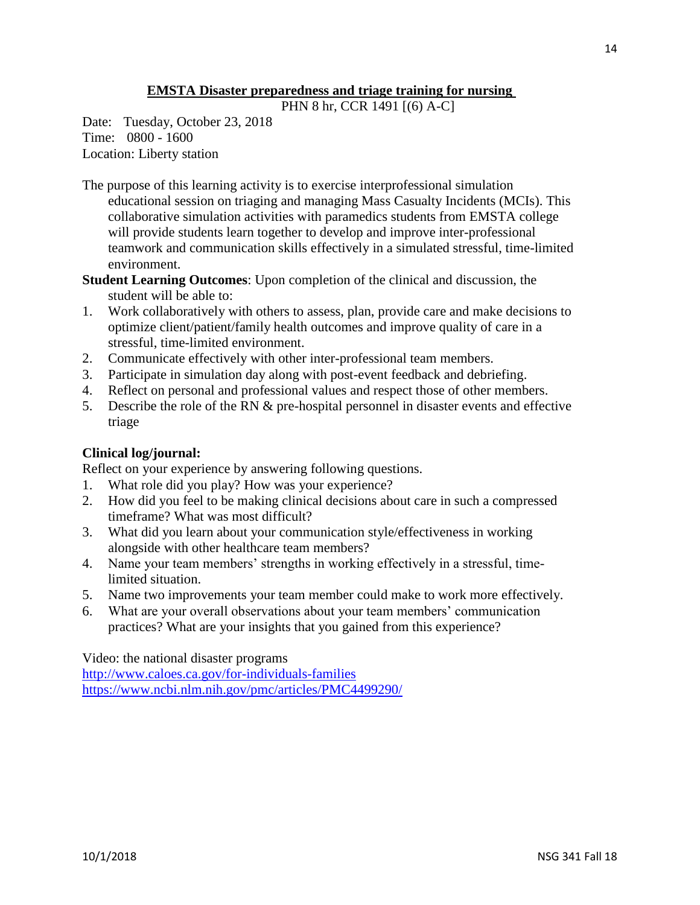### **EMSTA Disaster preparedness and triage training for nursing**

PHN 8 hr, CCR 1491 [(6) A-C]

Date: Tuesday, October 23, 2018 Time: 0800 - 1600 Location: Liberty station

- The purpose of this learning activity is to exercise interprofessional simulation educational session on triaging and managing Mass Casualty Incidents (MCIs). This collaborative simulation activities with paramedics students from EMSTA college will provide students learn together to develop and improve inter-professional teamwork and communication skills effectively in a simulated stressful, time-limited environment.
- **Student Learning Outcomes**: Upon completion of the clinical and discussion, the student will be able to:
- 1. Work collaboratively with others to assess, plan, provide care and make decisions to optimize client/patient/family health outcomes and improve quality of care in a stressful, time-limited environment.
- 2. Communicate effectively with other inter-professional team members.
- 3. Participate in simulation day along with post-event feedback and debriefing.
- 4. Reflect on personal and professional values and respect those of other members.
- 5. Describe the role of the RN & pre-hospital personnel in disaster events and effective triage

### **Clinical log/journal:**

Reflect on your experience by answering following questions.

- 1. What role did you play? How was your experience?
- 2. How did you feel to be making clinical decisions about care in such a compressed timeframe? What was most difficult?
- 3. What did you learn about your communication style/effectiveness in working alongside with other healthcare team members?
- 4. Name your team members' strengths in working effectively in a stressful, timelimited situation.
- 5. Name two improvements your team member could make to work more effectively.
- 6. What are your overall observations about your team members' communication practices? What are your insights that you gained from this experience?

Video: the national disaster programs <http://www.caloes.ca.gov/for-individuals-families> <https://www.ncbi.nlm.nih.gov/pmc/articles/PMC4499290/>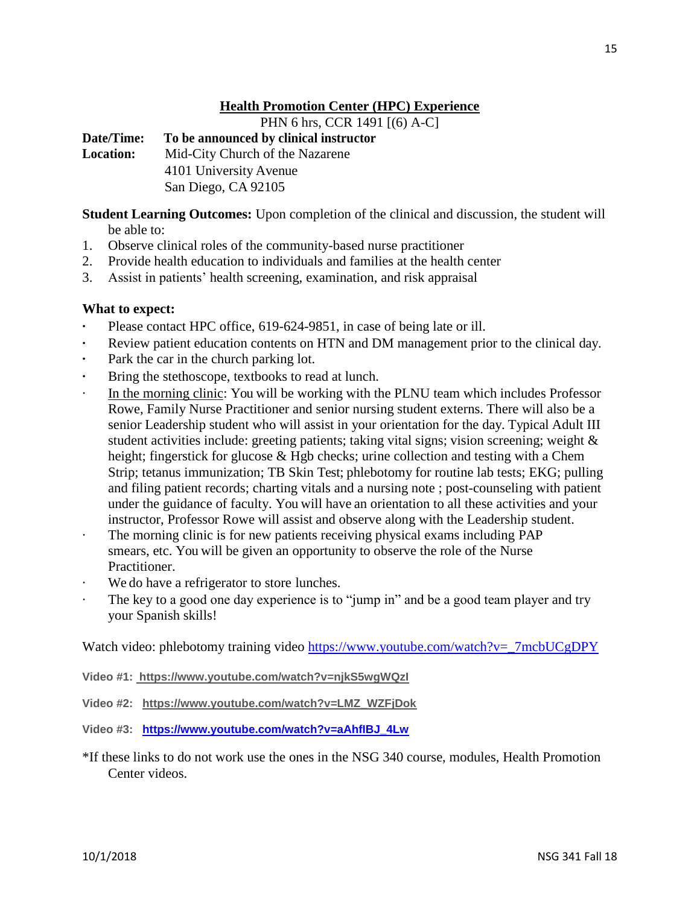### **Health Promotion Center (HPC) Experience**

PHN 6 hrs, CCR 1491 [(6) A-C]

**Date/Time: To be announced by clinical instructor Location:** Mid-City Church of the Nazarene 4101 University Avenue San Diego, CA 92105

**Student Learning Outcomes:** Upon completion of the clinical and discussion, the student will be able to:

- 1. Observe clinical roles of the community-based nurse practitioner
- 2. Provide health education to individuals and families at the health center
- 3. Assist in patients' health screening, examination, and risk appraisal

### **What to expect:**

- Please contact HPC office, 619-624-9851, in case of being late or ill.
- **·** Review patient education contents on HTN and DM management prior to the clinical day.
- **·** Park the car in the church parking lot.
- **·** Bring the stethoscope, textbooks to read at lunch.
- In the morning clinic: You will be working with the PLNU team which includes Professor Rowe, Family Nurse Practitioner and senior nursing student externs. There will also be a senior Leadership student who will assist in your orientation for the day. Typical Adult III student activities include: greeting patients; taking vital signs; vision screening; weight & height; fingerstick for glucose & Hgb checks; urine collection and testing with a Chem Strip; tetanus immunization; TB Skin Test; phlebotomy for routine lab tests; EKG; pulling and filing patient records; charting vitals and a nursing note ; post-counseling with patient under the guidance of faculty. You will have an orientation to all these activities and your instructor, Professor Rowe will assist and observe along with the Leadership student.
- The morning clinic is for new patients receiving physical exams including PAP smears, etc. You will be given an opportunity to observe the role of the Nurse Practitioner.
- We do have a refrigerator to store lunches.
- · The key to a good one day experience is to "jump in" and be a good team player and try your Spanish skills!

Watch video: phlebotomy training video [https://www.youtube.com/watch?v=\\_7mcbUCgDPY](https://www.youtube.com/watch?v=_7mcbUCgDPY)

- **Video #1: https://www.youtube.com/watch?v=njkS5wgWQzI**
- **Video #2: https://www.youtube.com/watch?v=LMZ\_WZFjDok**
- **Video #3: [https://www.youtube.com/watch?v=aAhfIBJ\\_4Lw](https://www.youtube.com/watch?v=aAhfIBJ_4Lw)**
- \*If these links to do not work use the ones in the NSG 340 course, modules, Health Promotion Center videos.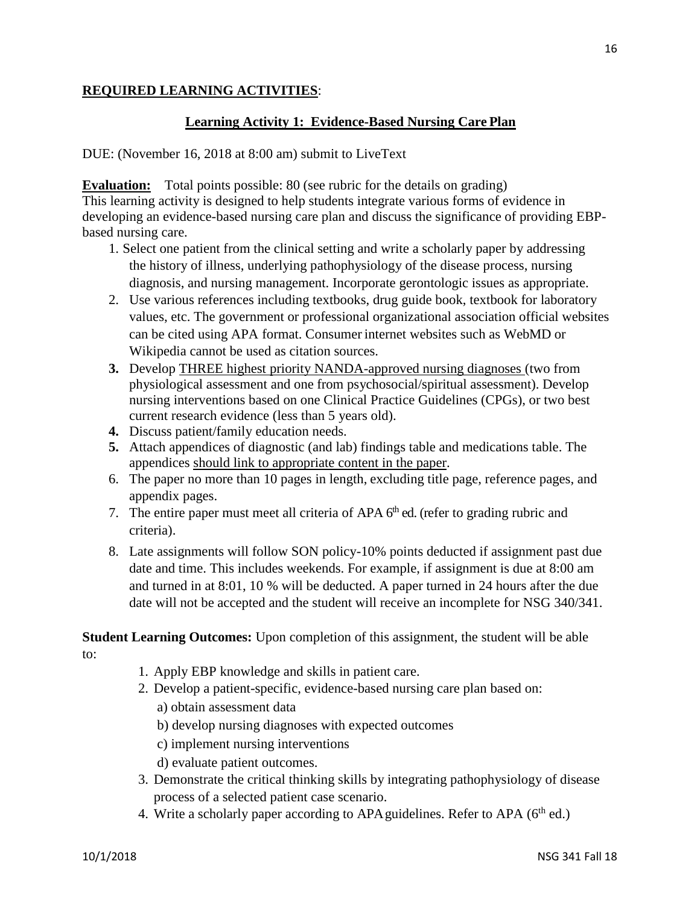### **REQUIRED LEARNING ACTIVITIES**:

### **Learning Activity 1: Evidence-Based Nursing Care Plan**

DUE: (November 16, 2018 at 8:00 am) submit to LiveText

**Evaluation:** Total points possible: 80 (see rubric for the details on grading) This learning activity is designed to help students integrate various forms of evidence in developing an evidence-based nursing care plan and discuss the significance of providing EBPbased nursing care.

- 1. Select one patient from the clinical setting and write a scholarly paper by addressing the history of illness, underlying pathophysiology of the disease process, nursing diagnosis, and nursing management. Incorporate gerontologic issues as appropriate.
- 2. Use various references including textbooks, drug guide book, textbook for laboratory values, etc. The government or professional organizational association official websites can be cited using APA format. Consumer internet websites such as WebMD or Wikipedia cannot be used as citation sources.
- **3.** Develop THREE highest priority NANDA-approved nursing diagnoses (two from physiological assessment and one from psychosocial/spiritual assessment). Develop nursing interventions based on one Clinical Practice Guidelines (CPGs), or two best current research evidence (less than 5 years old).
- **4.** Discuss patient/family education needs.
- **5.** Attach appendices of diagnostic (and lab) findings table and medications table. The appendices should link to appropriate content in the paper.
- 6. The paper no more than 10 pages in length, excluding title page, reference pages, and appendix pages.
- 7. The entire paper must meet all criteria of APA  $6<sup>th</sup>$  ed. (refer to grading rubric and criteria).
- 8. Late assignments will follow SON policy-10% points deducted if assignment past due date and time. This includes weekends. For example, if assignment is due at 8:00 am and turned in at 8:01, 10 % will be deducted. A paper turned in 24 hours after the due date will not be accepted and the student will receive an incomplete for NSG 340/341.

**Student Learning Outcomes:** Upon completion of this assignment, the student will be able to:

- 1. Apply EBP knowledge and skills in patient care.
- 2. Develop a patient-specific, evidence-based nursing care plan based on:
	- a) obtain assessment data
	- b) develop nursing diagnoses with expected outcomes
	- c) implement nursing interventions
	- d) evaluate patient outcomes.
- 3. Demonstrate the critical thinking skills by integrating pathophysiology of disease process of a selected patient case scenario.
- 4. Write a scholarly paper according to APA guidelines. Refer to APA ( $6<sup>th</sup>$  ed.)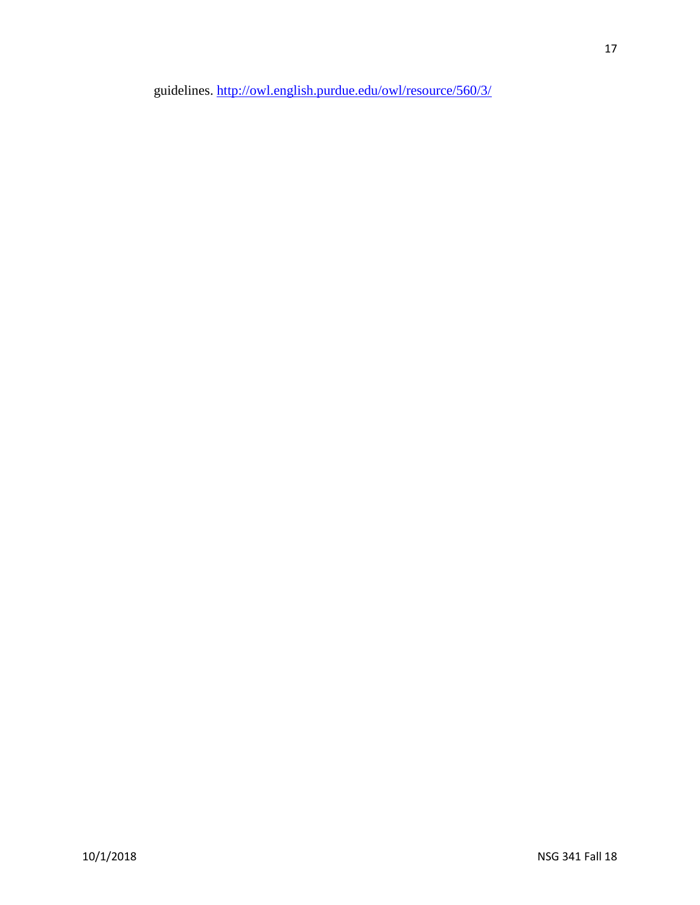guidelines.<http://owl.english.purdue.edu/owl/resource/560/3/>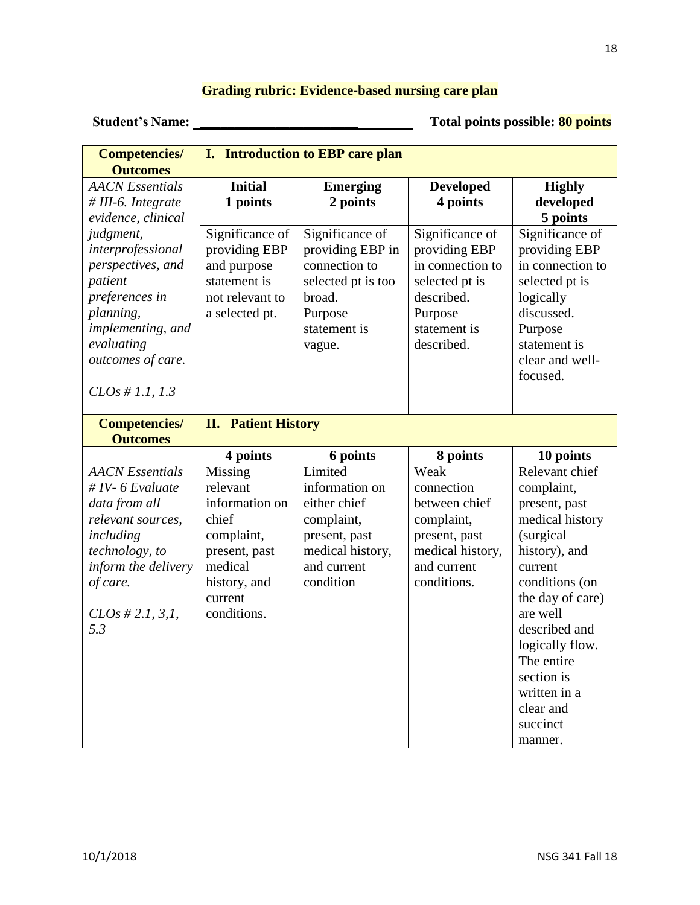### **Grading rubric: Evidence-based nursing care plan**

 **Student's Name: \_\_\_\_\_\_\_\_\_\_\_\_\_\_\_\_\_\_\_\_\_\_\_ Total points possible: 80 points**

| <b>Outcomes</b><br><b>AACN</b> Essentials<br><b>Initial</b><br><b>Developed</b><br><b>Highly</b><br><b>Emerging</b> |  |
|---------------------------------------------------------------------------------------------------------------------|--|
|                                                                                                                     |  |
|                                                                                                                     |  |
| developed<br>1 points<br>2 points<br>4 points<br>$# III-6. Integrate$                                               |  |
| evidence, clinical<br>5 points                                                                                      |  |
| Significance of<br>Significance of<br>Significance of<br>Significance of<br>judgment,                               |  |
| interprofessional<br>providing EBP<br>providing EBP in<br>providing EBP<br>providing EBP                            |  |
| in connection to<br>in connection to<br>perspectives, and<br>and purpose<br>connection to                           |  |
| statement is<br>patient<br>selected pt is too<br>selected pt is<br>selected pt is                                   |  |
| described.<br>preferences in<br>not relevant to<br>broad.<br>logically                                              |  |
| discussed.<br>planning,<br>a selected pt.<br>Purpose<br>Purpose                                                     |  |
| implementing, and<br>statement is<br>statement is<br>Purpose                                                        |  |
| evaluating<br>described.<br>statement is<br>vague.                                                                  |  |
| outcomes of care.<br>clear and well-                                                                                |  |
| focused.                                                                                                            |  |
| $CLOs \# 1.1, 1.3$                                                                                                  |  |
|                                                                                                                     |  |
| <b>II.</b> Patient History<br><b>Competencies/</b>                                                                  |  |
| <b>Outcomes</b>                                                                                                     |  |
| 6 points<br>8 points<br>10 points<br>4 points<br>Limited<br>Relevant chief                                          |  |
| Weak<br><b>AACN</b> Essentials<br>Missing<br># IV- $6$ Evaluate<br>relevant<br>information on                       |  |
| complaint,<br>connection<br>information on<br>either chief<br>between chief                                         |  |
| data from all<br>present, past<br>chief<br>relevant sources,                                                        |  |
| complaint,<br>complaint,<br>medical history                                                                         |  |
| (surgical<br>including<br>complaint,<br>present, past<br>present, past                                              |  |
| medical history,<br>medical history,<br>history), and<br>technology, to<br>present, past                            |  |
|                                                                                                                     |  |
| and current<br>inform the delivery<br>medical<br>and current<br>current                                             |  |
| condition<br>conditions.<br>of care.<br>history, and<br>conditions (on                                              |  |
| the day of care)<br>current                                                                                         |  |
| $CLOs \# 2.1, 3.1,$<br>conditions.<br>are well                                                                      |  |
| described and<br>5.3                                                                                                |  |
| logically flow.                                                                                                     |  |
| The entire                                                                                                          |  |
| section is                                                                                                          |  |
| written in a                                                                                                        |  |
| clear and<br>succinct                                                                                               |  |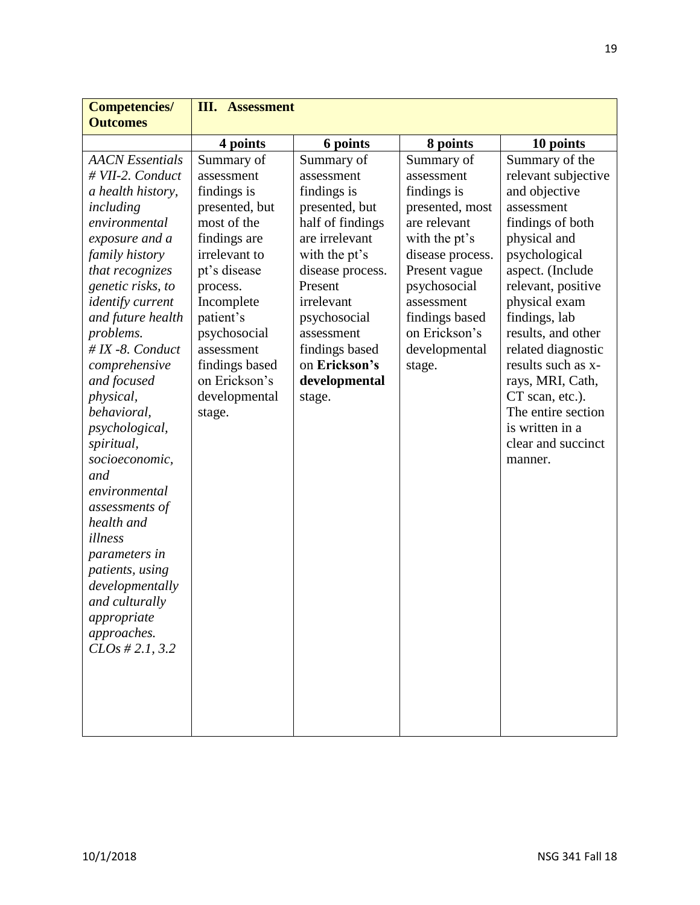| <b>Competencies/</b>    | <b>III.</b> Assessment |                  |                  |                     |
|-------------------------|------------------------|------------------|------------------|---------------------|
| <b>Outcomes</b>         |                        |                  |                  |                     |
|                         | 4 points               | 6 points         | 8 points         | 10 points           |
| <b>AACN</b> Essentials  | Summary of             | Summary of       | Summary of       | Summary of the      |
| # VII-2. Conduct        | assessment             | assessment       | assessment       | relevant subjective |
| a health history,       | findings is            | findings is      | findings is      | and objective       |
| including               | presented, but         | presented, but   | presented, most  | assessment          |
| environmental           | most of the            | half of findings | are relevant     | findings of both    |
| exposure and a          | findings are           | are irrelevant   | with the pt's    | physical and        |
| family history          | irrelevant to          | with the pt's    | disease process. | psychological       |
| that recognizes         | pt's disease           | disease process. | Present vague    | aspect. (Include    |
| genetic risks, to       | process.               | Present          | psychosocial     | relevant, positive  |
| <i>identify current</i> | Incomplete             | irrelevant       | assessment       | physical exam       |
| and future health       | patient's              | psychosocial     | findings based   | findings, lab       |
| problems.               | psychosocial           | assessment       | on Erickson's    | results, and other  |
| $\# IX$ -8. Conduct     | assessment             | findings based   | developmental    | related diagnostic  |
| comprehensive           | findings based         | on Erickson's    | stage.           | results such as x-  |
| and focused             | on Erickson's          | developmental    |                  | rays, MRI, Cath,    |
| physical,               | developmental          | stage.           |                  | CT scan, etc.).     |
| behavioral,             | stage.                 |                  |                  | The entire section  |
| psychological,          |                        |                  |                  | is written in a     |
| spiritual,              |                        |                  |                  | clear and succinct  |
| socioeconomic,          |                        |                  |                  | manner.             |
| and                     |                        |                  |                  |                     |
| environmental           |                        |                  |                  |                     |
| assessments of          |                        |                  |                  |                     |
| health and              |                        |                  |                  |                     |
| illness                 |                        |                  |                  |                     |
| <i>parameters in</i>    |                        |                  |                  |                     |
| patients, using         |                        |                  |                  |                     |
| developmentally         |                        |                  |                  |                     |
| and culturally          |                        |                  |                  |                     |
| appropriate             |                        |                  |                  |                     |
| approaches.             |                        |                  |                  |                     |
| CLOs # 2.1, 3.2         |                        |                  |                  |                     |
|                         |                        |                  |                  |                     |
|                         |                        |                  |                  |                     |
|                         |                        |                  |                  |                     |
|                         |                        |                  |                  |                     |
|                         |                        |                  |                  |                     |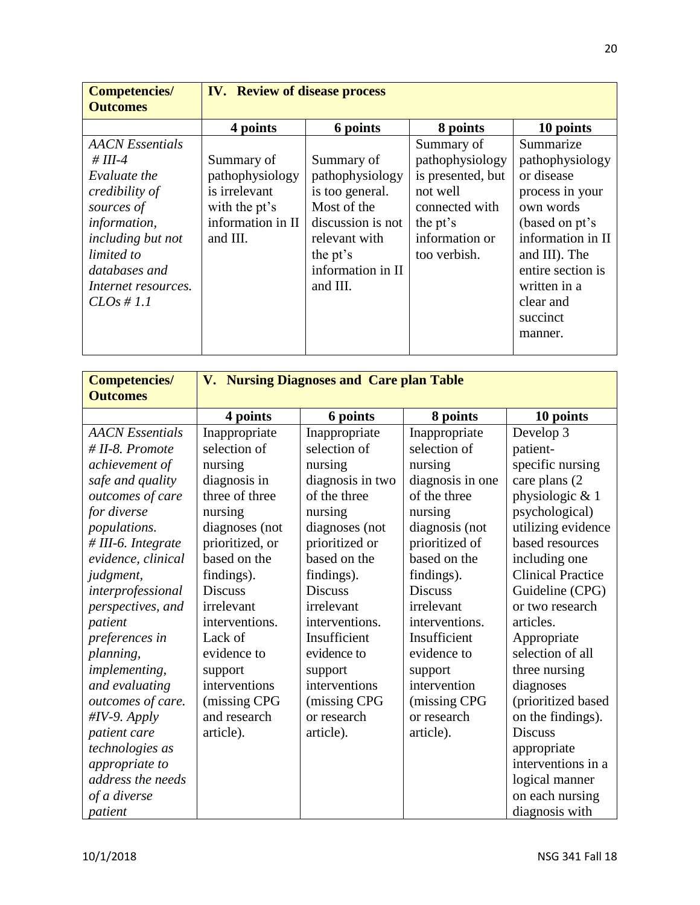| <b>Competencies/</b><br><b>Outcomes</b>                                                                                                                                                       | <b>IV.</b> Review of disease process                                                             |                                                                                                                                                    |                                                                                                                                |                                                                                                                                                                                                             |
|-----------------------------------------------------------------------------------------------------------------------------------------------------------------------------------------------|--------------------------------------------------------------------------------------------------|----------------------------------------------------------------------------------------------------------------------------------------------------|--------------------------------------------------------------------------------------------------------------------------------|-------------------------------------------------------------------------------------------------------------------------------------------------------------------------------------------------------------|
|                                                                                                                                                                                               | 4 points                                                                                         | 6 points                                                                                                                                           | 8 points                                                                                                                       | 10 points                                                                                                                                                                                                   |
| <b>AACN</b> Essentials<br># III-4<br>Evaluate the<br>credibility of<br>sources of<br>information,<br>including but not<br>limited to<br>databases and<br>Internet resources.<br>$CLOs \# 1.1$ | Summary of<br>pathophysiology<br>is irrelevant<br>with the pt's<br>information in II<br>and III. | Summary of<br>pathophysiology<br>is too general.<br>Most of the<br>discussion is not<br>relevant with<br>the pt's<br>information in II<br>and III. | Summary of<br>pathophysiology<br>is presented, but<br>not well<br>connected with<br>the pt's<br>information or<br>too verbish. | Summarize<br>pathophysiology<br>or disease<br>process in your<br>own words<br>(based on pt's<br>information in II<br>and III). The<br>entire section is<br>written in a<br>clear and<br>succinct<br>manner. |

| <b>Competencies/</b>   | V. Nursing Diagnoses and Care plan Table |                  |                  |                          |
|------------------------|------------------------------------------|------------------|------------------|--------------------------|
| <b>Outcomes</b>        |                                          |                  |                  |                          |
|                        | 4 points                                 | 6 points         | 8 points         | 10 points                |
| <b>AACN</b> Essentials | Inappropriate                            | Inappropriate    | Inappropriate    | Develop 3                |
| $# II-8.$ Promote      | selection of                             | selection of     | selection of     | patient-                 |
| achievement of         | nursing                                  | nursing          | nursing          | specific nursing         |
| safe and quality       | diagnosis in                             | diagnosis in two | diagnosis in one | care plans (2)           |
| outcomes of care       | three of three                           | of the three     | of the three     | physiologic & 1          |
| for diverse            | nursing                                  | nursing          | nursing          | psychological)           |
| populations.           | diagnoses (not                           | diagnoses (not   | diagnosis (not   | utilizing evidence       |
| # III-6. Integrate     | prioritized, or                          | prioritized or   | prioritized of   | based resources          |
| evidence, clinical     | based on the                             | based on the     | based on the     | including one            |
| judgment,              | findings).                               | findings).       | findings).       | <b>Clinical Practice</b> |
| interprofessional      | <b>Discuss</b>                           | <b>Discuss</b>   | <b>Discuss</b>   | Guideline (CPG)          |
| perspectives, and      | irrelevant                               | irrelevant       | irrelevant       | or two research          |
| patient                | interventions.                           | interventions.   | interventions.   | articles.                |
| preferences in         | Lack of                                  | Insufficient     | Insufficient     | Appropriate              |
| planning,              | evidence to                              | evidence to      | evidence to      | selection of all         |
| implementing,          | support                                  | support          | support          | three nursing            |
| and evaluating         | interventions                            | interventions    | intervention     | diagnoses                |
| outcomes of care.      | (missing CPG                             | (missing CPG     | (missing CPG     | (prioritized based       |
| $\#IV-9$ . Apply       | and research                             | or research      | or research      | on the findings).        |
| patient care           | article).                                | article).        | article).        | <b>Discuss</b>           |
| technologies as        |                                          |                  |                  | appropriate              |
| appropriate to         |                                          |                  |                  | interventions in a       |
| address the needs      |                                          |                  |                  | logical manner           |
| of a diverse           |                                          |                  |                  | on each nursing          |
| patient                |                                          |                  |                  | diagnosis with           |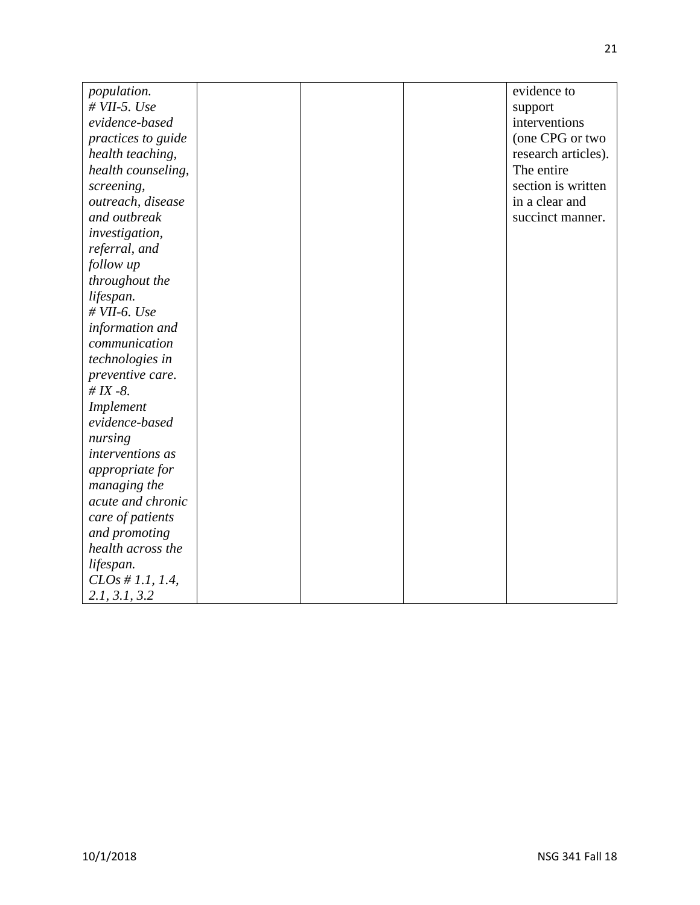| population.           |  | evidence to         |
|-----------------------|--|---------------------|
| $# VII-5. Use$        |  | support             |
| evidence-based        |  | interventions       |
| practices to guide    |  | (one CPG or two     |
| health teaching,      |  | research articles). |
| health counseling,    |  | The entire          |
|                       |  | section is written  |
| screening,            |  | in a clear and      |
| outreach, disease     |  |                     |
| and outbreak          |  | succinct manner.    |
| <i>investigation,</i> |  |                     |
| referral, and         |  |                     |
| follow up             |  |                     |
| throughout the        |  |                     |
| lifespan.             |  |                     |
| $# VII-6. Use$        |  |                     |
| information and       |  |                     |
| communication         |  |                     |
| technologies in       |  |                     |
| preventive care.      |  |                     |
| # $IX -8$ .           |  |                     |
| Implement             |  |                     |
| evidence-based        |  |                     |
| nursing               |  |                     |
| interventions as      |  |                     |
| appropriate for       |  |                     |
| managing the          |  |                     |
| acute and chronic     |  |                     |
| care of patients      |  |                     |
| and promoting         |  |                     |
| health across the     |  |                     |
| lifespan.             |  |                     |
| $CLOs \# 1.1, 1.4,$   |  |                     |
| 2.1, 3.1, 3.2         |  |                     |
|                       |  |                     |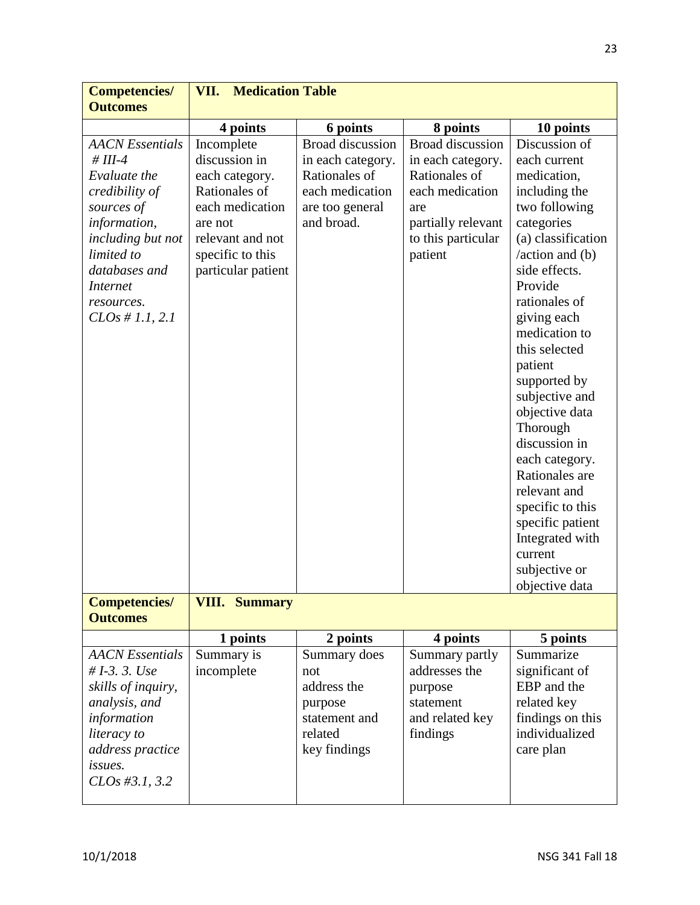| <b>Medication Table</b><br>VII.                                                                                                                            |                                                                                                                   |                                                                                                                                                |                                                                                                                                                                                                                                                                                                                                                                                                                                                                                                       |
|------------------------------------------------------------------------------------------------------------------------------------------------------------|-------------------------------------------------------------------------------------------------------------------|------------------------------------------------------------------------------------------------------------------------------------------------|-------------------------------------------------------------------------------------------------------------------------------------------------------------------------------------------------------------------------------------------------------------------------------------------------------------------------------------------------------------------------------------------------------------------------------------------------------------------------------------------------------|
|                                                                                                                                                            |                                                                                                                   |                                                                                                                                                |                                                                                                                                                                                                                                                                                                                                                                                                                                                                                                       |
|                                                                                                                                                            |                                                                                                                   |                                                                                                                                                | 10 points                                                                                                                                                                                                                                                                                                                                                                                                                                                                                             |
| Incomplete<br>discussion in<br>each category.<br>Rationales of<br>each medication<br>are not<br>relevant and not<br>specific to this<br>particular patient | <b>Broad discussion</b><br>in each category.<br>Rationales of<br>each medication<br>are too general<br>and broad. | <b>Broad discussion</b><br>in each category.<br>Rationales of<br>each medication<br>are<br>partially relevant<br>to this particular<br>patient | Discussion of<br>each current<br>medication,<br>including the<br>two following<br>categories<br>(a) classification<br>$\lambda$ action and (b)<br>side effects.<br>Provide<br>rationales of<br>giving each<br>medication to<br>this selected<br>patient<br>supported by<br>subjective and<br>objective data<br>Thorough<br>discussion in<br>each category.<br>Rationales are<br>relevant and<br>specific to this<br>specific patient<br>Integrated with<br>current<br>subjective or<br>objective data |
| <b>VIII. Summary</b>                                                                                                                                       |                                                                                                                   |                                                                                                                                                |                                                                                                                                                                                                                                                                                                                                                                                                                                                                                                       |
|                                                                                                                                                            |                                                                                                                   |                                                                                                                                                |                                                                                                                                                                                                                                                                                                                                                                                                                                                                                                       |
| 1 points                                                                                                                                                   | 2 points                                                                                                          | 4 points                                                                                                                                       | 5 points                                                                                                                                                                                                                                                                                                                                                                                                                                                                                              |
| Summary is<br>incomplete                                                                                                                                   | Summary does<br>not<br>address the<br>purpose<br>statement and<br>related<br>key findings                         | Summary partly<br>addresses the<br>purpose<br>statement<br>and related key<br>findings                                                         | Summarize<br>significant of<br>EBP and the<br>related key<br>findings on this<br>individualized<br>care plan                                                                                                                                                                                                                                                                                                                                                                                          |
|                                                                                                                                                            | 4 points                                                                                                          | 6 points                                                                                                                                       | 8 points                                                                                                                                                                                                                                                                                                                                                                                                                                                                                              |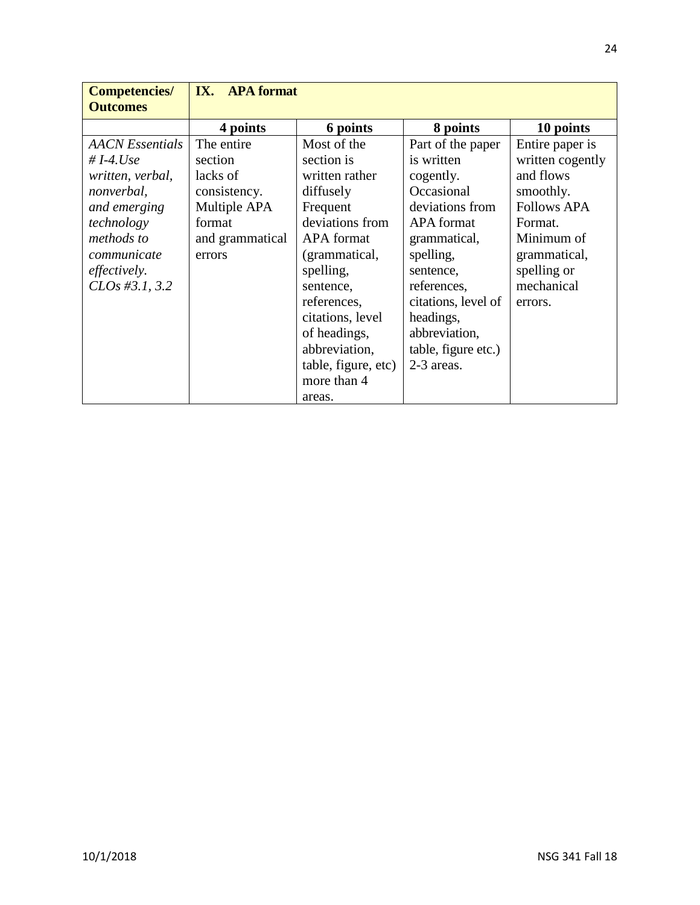| <b>Competencies/</b><br><b>Outcomes</b> | <b>IX.</b> APA format |                     |                     |                    |
|-----------------------------------------|-----------------------|---------------------|---------------------|--------------------|
|                                         | 4 points              | 6 points            | 8 points            | 10 points          |
| <b>AACN</b> Essentials                  | The entire            | Most of the         | Part of the paper   | Entire paper is    |
| # I-4.Use                               | section               | section is          | is written          | written cogently   |
| written, verbal,                        | lacks of              | written rather      | cogently.           | and flows          |
| nonverbal,                              | consistency.          | diffusely           | Occasional          | smoothly.          |
| and emerging                            | Multiple APA          | Frequent            | deviations from     | <b>Follows APA</b> |
| technology                              | format                | deviations from     | <b>APA</b> format   | Format.            |
| methods to                              | and grammatical       | <b>APA</b> format   | grammatical,        | Minimum of         |
| communicate                             | errors                | (grammatical,       | spelling,           | grammatical,       |
| <i>effectively.</i>                     |                       | spelling,           | sentence,           | spelling or        |
| $CLOs$ #3.1, 3.2                        |                       | sentence,           | references,         | mechanical         |
|                                         |                       | references,         | citations, level of | errors.            |
|                                         |                       | citations, level    | headings,           |                    |
|                                         |                       | of headings,        | abbreviation,       |                    |
|                                         |                       | abbreviation,       | table, figure etc.) |                    |
|                                         |                       | table, figure, etc) | 2-3 areas.          |                    |
|                                         |                       | more than 4         |                     |                    |
|                                         |                       | areas.              |                     |                    |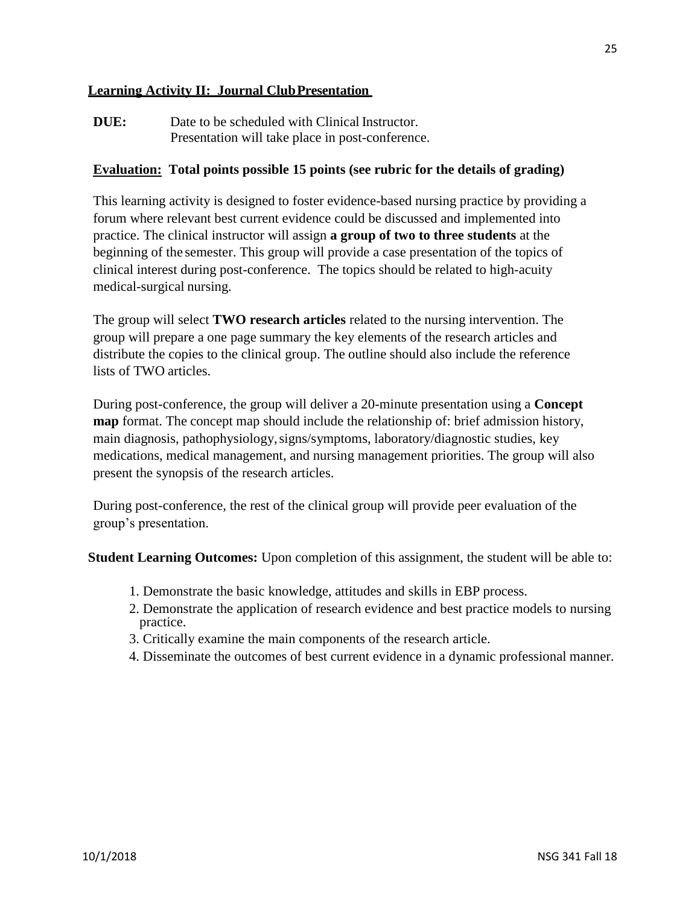### **Learning Activity II: Journal ClubPresentation**

**DUE:** Date to be scheduled with Clinical Instructor. Presentation will take place in post-conference.

### **Evaluation: Total points possible 15 points (see rubric for the details of grading)**

This learning activity is designed to foster evidence-based nursing practice by providing a forum where relevant best current evidence could be discussed and implemented into practice. The clinical instructor will assign **a group of two to three students** at the beginning of the semester. This group will provide a case presentation of the topics of clinical interest during post-conference. The topics should be related to high-acuity medical-surgical nursing.

The group will select **TWO research articles** related to the nursing intervention. The group will prepare a one page summary the key elements of the research articles and distribute the copies to the clinical group. The outline should also include the reference lists of TWO articles.

During post-conference, the group will deliver a 20-minute presentation using a **Concept map** format. The concept map should include the relationship of: brief admission history, main diagnosis, pathophysiology,signs/symptoms, laboratory/diagnostic studies, key medications, medical management, and nursing management priorities. The group will also present the synopsis of the research articles.

During post-conference, the rest of the clinical group will provide peer evaluation of the group's presentation.

**Student Learning Outcomes:** Upon completion of this assignment, the student will be able to:

- 1. Demonstrate the basic knowledge, attitudes and skills in EBP process.
- 2. Demonstrate the application of research evidence and best practice models to nursing practice.
- 3. Critically examine the main components of the research article.
- 4. Disseminate the outcomes of best current evidence in a dynamic professional manner.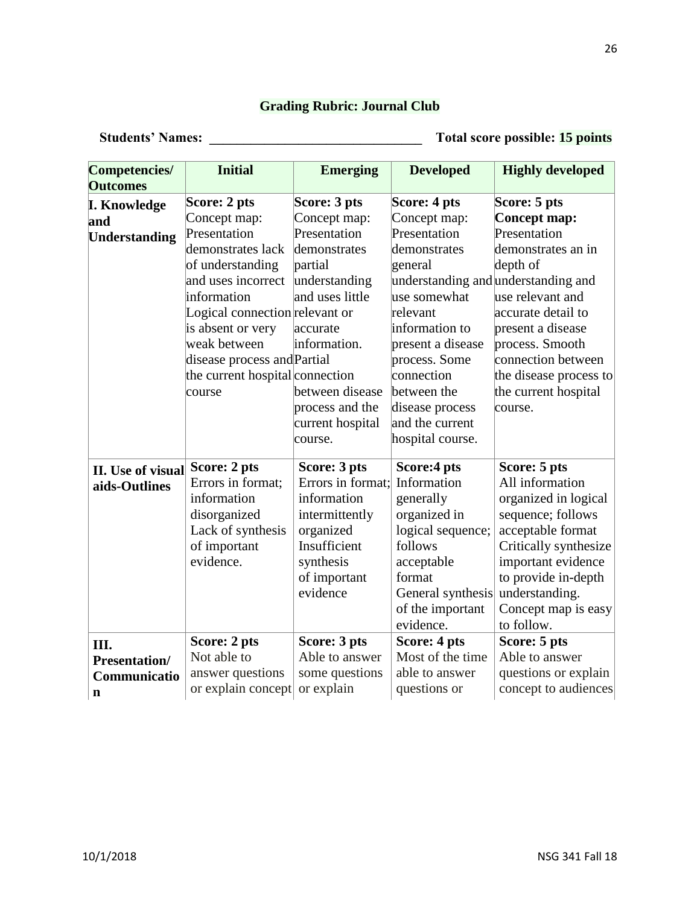### **Grading Rubric: Journal Club**

 **Students' Names: \_\_\_\_\_\_\_\_\_\_\_\_\_\_\_\_\_\_\_\_\_\_\_\_\_\_\_\_\_\_\_ Total score possible: 15 points**

| Competencies/        | <b>Initial</b>                  | <b>Emerging</b>   | <b>Developed</b>                    | <b>Highly developed</b> |
|----------------------|---------------------------------|-------------------|-------------------------------------|-------------------------|
| <b>Outcomes</b>      |                                 |                   |                                     |                         |
| <b>I. Knowledge</b>  | Score: 2 pts                    | Score: 3 pts      | Score: 4 pts                        | Score: 5 pts            |
| and                  | Concept map:                    | Concept map:      | Concept map:                        | Concept map:            |
| Understanding        | Presentation                    | Presentation      | Presentation                        | Presentation            |
|                      | demonstrates lack               | demonstrates      | demonstrates                        | demonstrates an in      |
|                      | of understanding                | partial           | general                             | depth of                |
|                      | and uses incorrect              | understanding     | understanding and understanding and |                         |
|                      | information                     | and uses little   | use somewhat                        | use relevant and        |
|                      | Logical connection relevant or  |                   | relevant                            | accurate detail to      |
|                      | is absent or very               | accurate          | information to                      | present a disease       |
|                      | weak between                    | information.      | present a disease                   | process. Smooth         |
|                      | disease process and Partial     |                   | process. Some                       | connection between      |
|                      | the current hospital connection |                   | connection                          | the disease process to  |
|                      | course                          | between disease   | between the                         | the current hospital    |
|                      |                                 | process and the   | disease process                     | course.                 |
|                      |                                 | current hospital  | and the current                     |                         |
|                      |                                 | course.           | hospital course.                    |                         |
| II. Use of visual    | Score: 2 pts                    | Score: 3 pts      | Score:4 pts                         | Score: 5 pts            |
| aids-Outlines        | Errors in format;               | Errors in format; | Information                         | All information         |
|                      | information                     | information       | generally                           | organized in logical    |
|                      | disorganized                    | intermittently    | organized in                        | sequence; follows       |
|                      | Lack of synthesis               | organized         | logical sequence;                   | acceptable format       |
|                      | of important                    | Insufficient      | follows                             | Critically synthesize   |
|                      | evidence.                       | synthesis         | acceptable                          | important evidence      |
|                      |                                 | of important      | format                              | to provide in-depth     |
|                      |                                 | evidence          | General synthesis                   | understanding.          |
|                      |                                 |                   | of the important                    | Concept map is easy     |
|                      |                                 |                   | evidence.                           | to follow.              |
| III.                 | Score: 2 pts                    | Score: 3 pts      | Score: 4 pts                        | Score: 5 pts            |
| <b>Presentation/</b> | Not able to                     | Able to answer    | Most of the time                    | Able to answer          |
| Communicatio         | answer questions                | some questions    | able to answer                      | questions or explain    |
| $\mathbf n$          | or explain concept              | or explain        | questions or                        | concept to audiences    |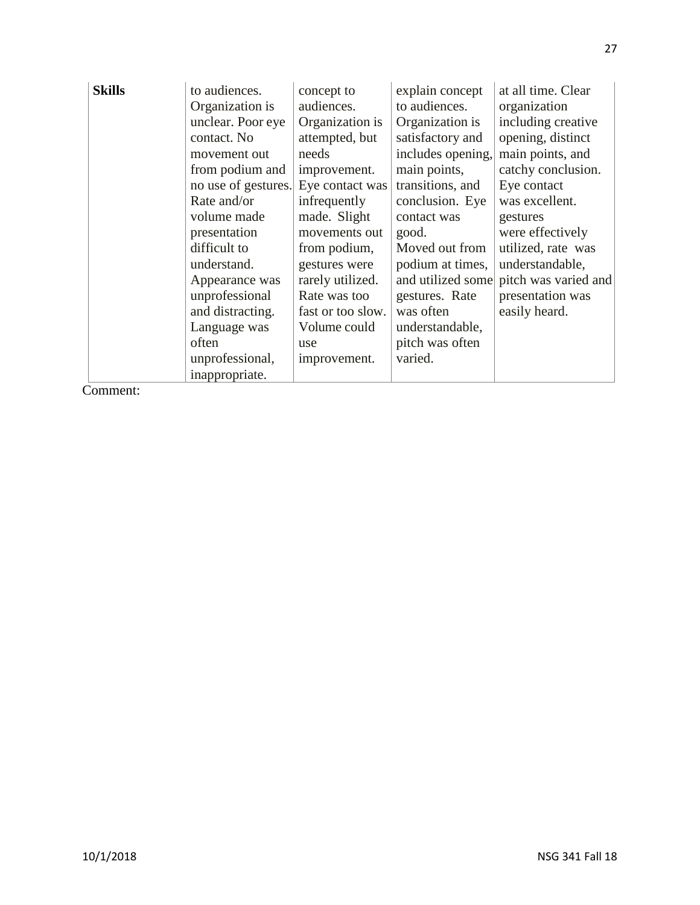| <b>Skills</b> | to audiences.<br>Organization is<br>unclear. Poor eye<br>contact. No<br>movement out<br>from podium and<br>no use of gestures.<br>Rate and/or<br>volume made<br>presentation<br>difficult to<br>understand.<br>Appearance was<br>unprofessional<br>and distracting.<br>Language was<br>often<br>unprofessional, | concept to<br>audiences.<br>Organization is<br>attempted, but<br>needs<br>improvement.<br>Eye contact was<br>infrequently<br>made. Slight<br>movements out<br>from podium,<br>gestures were<br>rarely utilized.<br>Rate was too<br>fast or too slow.<br>Volume could<br>use<br>improvement. | explain concept<br>to audiences.<br>Organization is<br>satisfactory and<br>includes opening,<br>main points,<br>transitions, and<br>conclusion. Eye<br>contact was<br>good.<br>Moved out from<br>podium at times,<br>and utilized some<br>gestures. Rate<br>was often<br>understandable,<br>pitch was often<br>varied. | at all time. Clear<br>organization<br>including creative<br>opening, distinct<br>main points, and<br>catchy conclusion.<br>Eye contact<br>was excellent.<br>gestures<br>were effectively<br>utilized, rate was<br>understandable,<br>pitch was varied and<br>presentation was<br>easily heard. |
|---------------|-----------------------------------------------------------------------------------------------------------------------------------------------------------------------------------------------------------------------------------------------------------------------------------------------------------------|---------------------------------------------------------------------------------------------------------------------------------------------------------------------------------------------------------------------------------------------------------------------------------------------|------------------------------------------------------------------------------------------------------------------------------------------------------------------------------------------------------------------------------------------------------------------------------------------------------------------------|------------------------------------------------------------------------------------------------------------------------------------------------------------------------------------------------------------------------------------------------------------------------------------------------|
|               | inappropriate.                                                                                                                                                                                                                                                                                                  |                                                                                                                                                                                                                                                                                             |                                                                                                                                                                                                                                                                                                                        |                                                                                                                                                                                                                                                                                                |

Comment: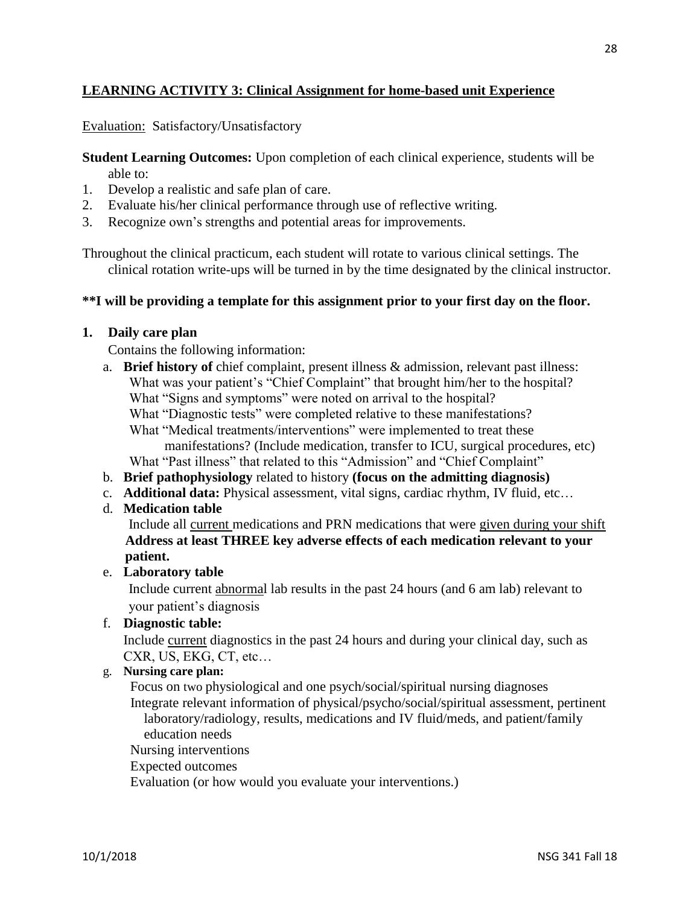### **LEARNING ACTIVITY 3: Clinical Assignment for home-based unit Experience**

Evaluation: Satisfactory/Unsatisfactory

**Student Learning Outcomes:** Upon completion of each clinical experience, students will be able to:

- 1. Develop a realistic and safe plan of care.
- 2. Evaluate his/her clinical performance through use of reflective writing.
- 3. Recognize own's strengths and potential areas for improvements.

Throughout the clinical practicum, each student will rotate to various clinical settings. The clinical rotation write-ups will be turned in by the time designated by the clinical instructor.

### **\*\*I will be providing a template for this assignment prior to your first day on the floor.**

### **1. Daily care plan**

Contains the following information:

a. **Brief history of** chief complaint, present illness & admission, relevant past illness: What was your patient's "Chief Complaint" that brought him/her to the hospital? What "Signs and symptoms" were noted on arrival to the hospital?

What "Diagnostic tests" were completed relative to these manifestations?

What "Medical treatments/interventions" were implemented to treat these

manifestations? (Include medication, transfer to ICU, surgical procedures, etc) What "Past illness" that related to this "Admission" and "Chief Complaint"

- b. **Brief pathophysiology** related to history **(focus on the admitting diagnosis)**
- c. **Additional data:** Physical assessment, vital signs, cardiac rhythm, IV fluid, etc…
- d. **Medication table**

 Include all current medications and PRN medications that were given during your shift  **Address at least THREE key adverse effects of each medication relevant to your patient.**

### e. **Laboratory table**

 Include current abnormal lab results in the past 24 hours (and 6 am lab) relevant to your patient's diagnosis

### f. **Diagnostic table:**

Include current diagnostics in the past 24 hours and during your clinical day, such as CXR, US, EKG, CT, etc…

### g. **Nursing care plan:**

 Focus on two physiological and one psych/social/spiritual nursing diagnoses Integrate relevant information of physical/psycho/social/spiritual assessment, pertinent laboratory/radiology, results, medications and IV fluid/meds, and patient/family education needs

Nursing interventions

Expected outcomes

Evaluation (or how would you evaluate your interventions.)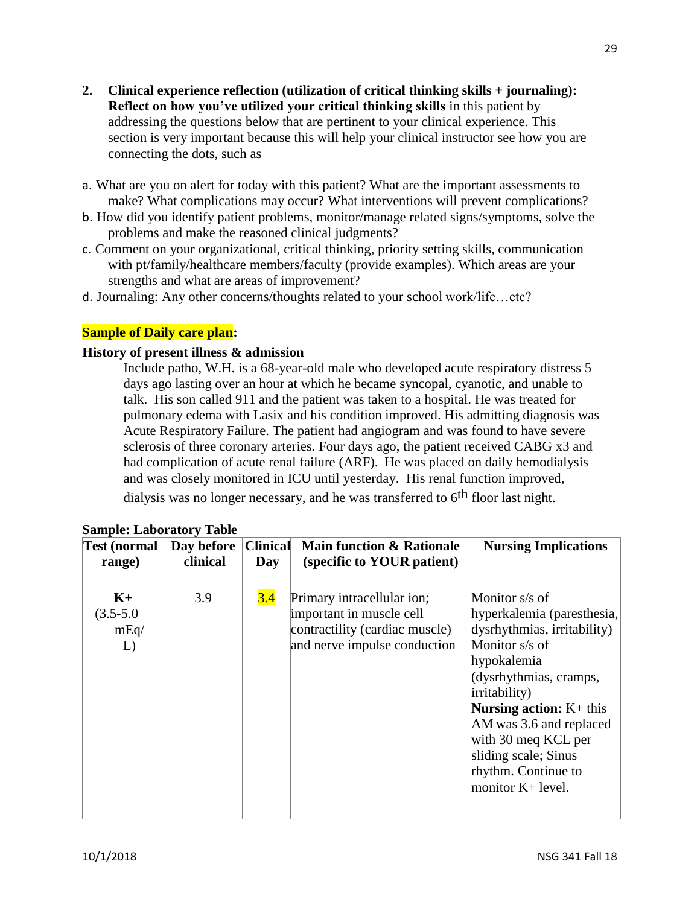- **2. Clinical experience reflection (utilization of critical thinking skills + journaling): Reflect on how you've utilized your critical thinking skills** in this patient by addressing the questions below that are pertinent to your clinical experience. This section is very important because this will help your clinical instructor see how you are connecting the dots, such as
- a. What are you on alert for today with this patient? What are the important assessments to make? What complications may occur? What interventions will prevent complications?
- b. How did you identify patient problems, monitor/manage related signs/symptoms, solve the problems and make the reasoned clinical judgments?
- c. Comment on your organizational, critical thinking, priority setting skills, communication with pt/family/healthcare members/faculty (provide examples). Which areas are your strengths and what are areas of improvement?
- d. Journaling: Any other concerns/thoughts related to your school work/life…etc?

### **Sample of Daily care plan:**

#### **History of present illness & admission**

Include patho, W.H. is a 68-year-old male who developed acute respiratory distress 5 days ago lasting over an hour at which he became syncopal, cyanotic, and unable to talk. His son called 911 and the patient was taken to a hospital. He was treated for pulmonary edema with Lasix and his condition improved. His admitting diagnosis was Acute Respiratory Failure. The patient had angiogram and was found to have severe sclerosis of three coronary arteries. Four days ago, the patient received CABG x3 and had complication of acute renal failure (ARF). He was placed on daily hemodialysis and was closely monitored in ICU until yesterday. His renal function improved,

dialysis was no longer necessary, and he was transferred to  $6<sup>th</sup>$  floor last night.

| <b>Test (normal</b>                 | Day before | <b>Clinical</b> | <b>Main function &amp; Rationale</b>                                                                                     | <b>Nursing Implications</b>                                                                                                                                                                                                                                                                                         |
|-------------------------------------|------------|-----------------|--------------------------------------------------------------------------------------------------------------------------|---------------------------------------------------------------------------------------------------------------------------------------------------------------------------------------------------------------------------------------------------------------------------------------------------------------------|
| range)                              | clinical   | Day             | (specific to YOUR patient)                                                                                               |                                                                                                                                                                                                                                                                                                                     |
| $K+$<br>$(3.5 - 5.0)$<br>mEq/<br>L) | 3.9        | 3.4             | Primary intracellular ion;<br>important in muscle cell<br>contractility (cardiac muscle)<br>and nerve impulse conduction | Monitor s/s of<br>hyperkalemia (paresthesia,<br>dysrhythmias, irritability)<br>Monitor s/s of<br>hypokalemia<br>(dysrhythmias, cramps,<br>irritability)<br><b>Nursing action:</b> $K+$ this<br>AM was 3.6 and replaced<br>with 30 meg KCL per<br>sliding scale; Sinus<br>rhythm. Continue to<br>monitor $K+$ level. |

|  | <b>Sample: Laboratory Table</b> |  |
|--|---------------------------------|--|
|  |                                 |  |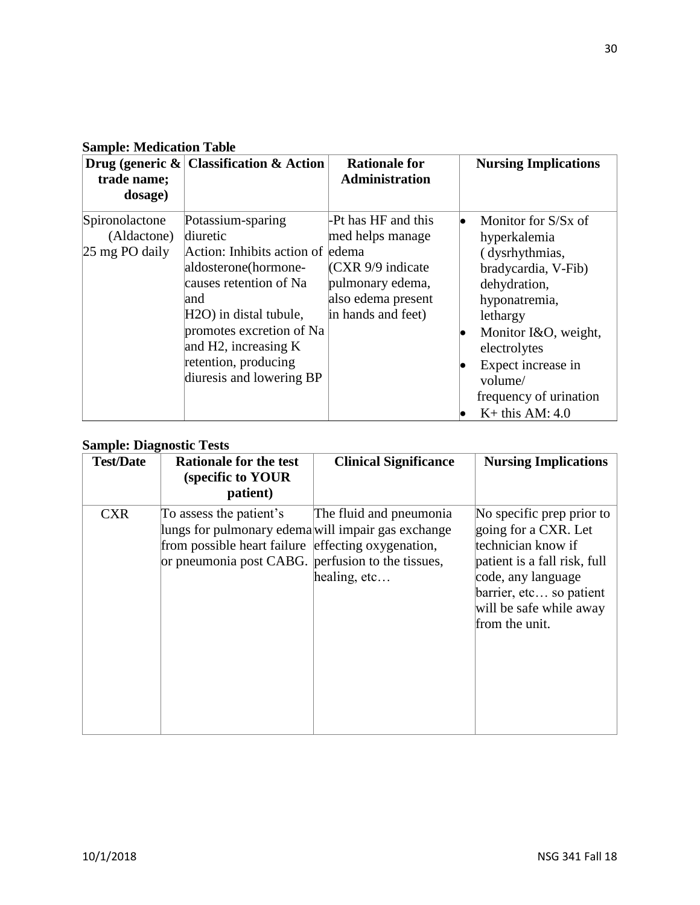### **Sample: Medication Table**

| trade name;<br>dosage)                          | Drug (generic $\&$ Classification $&$ Action                                                                                                                                                                                                                                 | <b>Rationale for</b><br>Administration                                                                                               | <b>Nursing Implications</b>                                                                                                                                                                                                                       |
|-------------------------------------------------|------------------------------------------------------------------------------------------------------------------------------------------------------------------------------------------------------------------------------------------------------------------------------|--------------------------------------------------------------------------------------------------------------------------------------|---------------------------------------------------------------------------------------------------------------------------------------------------------------------------------------------------------------------------------------------------|
| Spironolactone<br>(Aldactone)<br>25 mg PO daily | Potassium-sparing<br>diuretic<br>Action: Inhibits action of edema<br>aldosterone(hormone-<br>causes retention of Na<br>land<br>H <sub>2</sub> O) in distal tubule,<br>promotes excretion of Na<br>and H2, increasing $K$<br>retention, producing<br>diuresis and lowering BP | -Pt has HF and this<br>med helps manage<br>$ {\rm CXR}$ 9/9 indicate<br>pulmonary edema,<br>also edema present<br>in hands and feet) | Monitor for S/Sx of<br>hyperkalemia<br>(dysrhythmias,<br>bradycardia, V-Fib)<br>dehydration,<br>hyponatremia,<br>lethargy<br>Monitor I&O, weight,<br>electrolytes<br>Expect increase in<br>volume/<br>frequency of urination<br>$K+$ this AM: 4.0 |

### **Sample: Diagnostic Tests**

| <b>Test/Date</b> | <b>Rationale for the test</b><br>(specific to YOUR<br>patient)                                                                                                                           | <b>Clinical Significance</b>              | <b>Nursing Implications</b>                                                                                                                                                                           |
|------------------|------------------------------------------------------------------------------------------------------------------------------------------------------------------------------------------|-------------------------------------------|-------------------------------------------------------------------------------------------------------------------------------------------------------------------------------------------------------|
| <b>CXR</b>       | To assess the patient's<br>lungs for pulmonary edema will impair gas exchange<br>from possible heart failure effecting oxygenation,<br>or pneumonia post CABG. perfusion to the tissues, | The fluid and pneumonia<br>healing, $etc$ | No specific prep prior to<br>going for a CXR. Let<br>technician know if<br>patient is a fall risk, full<br>code, any language<br>barrier, etc so patient<br>will be safe while away<br>from the unit. |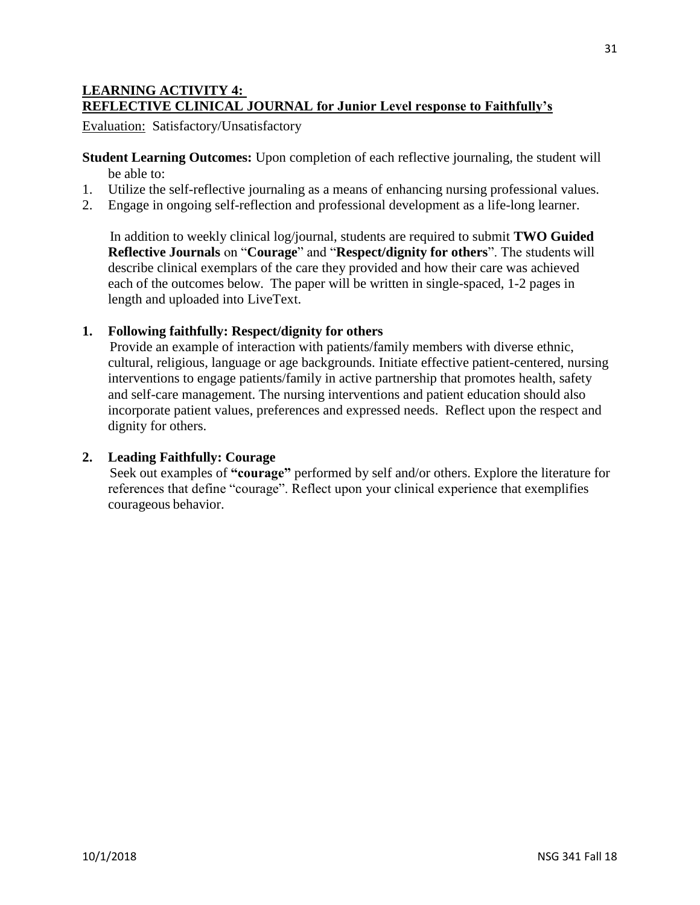### **LEARNING ACTIVITY 4: REFLECTIVE CLINICAL JOURNAL for Junior Level response to Faithfully's**

Evaluation: Satisfactory/Unsatisfactory

**Student Learning Outcomes:** Upon completion of each reflective journaling, the student will be able to:

- 1. Utilize the self-reflective journaling as a means of enhancing nursing professional values.
- 2. Engage in ongoing self-reflection and professional development as a life-long learner.

 In addition to weekly clinical log/journal, students are required to submit **TWO Guided Reflective Journals** on "**Courage**" and "**Respect/dignity for others**". The students will describe clinical exemplars of the care they provided and how their care was achieved each of the outcomes below. The paper will be written in single-spaced, 1-2 pages in length and uploaded into LiveText.

### **1. Following faithfully: Respect/dignity for others**

 Provide an example of interaction with patients/family members with diverse ethnic, cultural, religious, language or age backgrounds. Initiate effective patient-centered, nursing interventions to engage patients/family in active partnership that promotes health, safety and self-care management. The nursing interventions and patient education should also incorporate patient values, preferences and expressed needs. Reflect upon the respect and dignity for others.

### **2. Leading Faithfully: Courage**

 Seek out examples of **"courage"** performed by self and/or others. Explore the literature for references that define "courage". Reflect upon your clinical experience that exemplifies courageous behavior.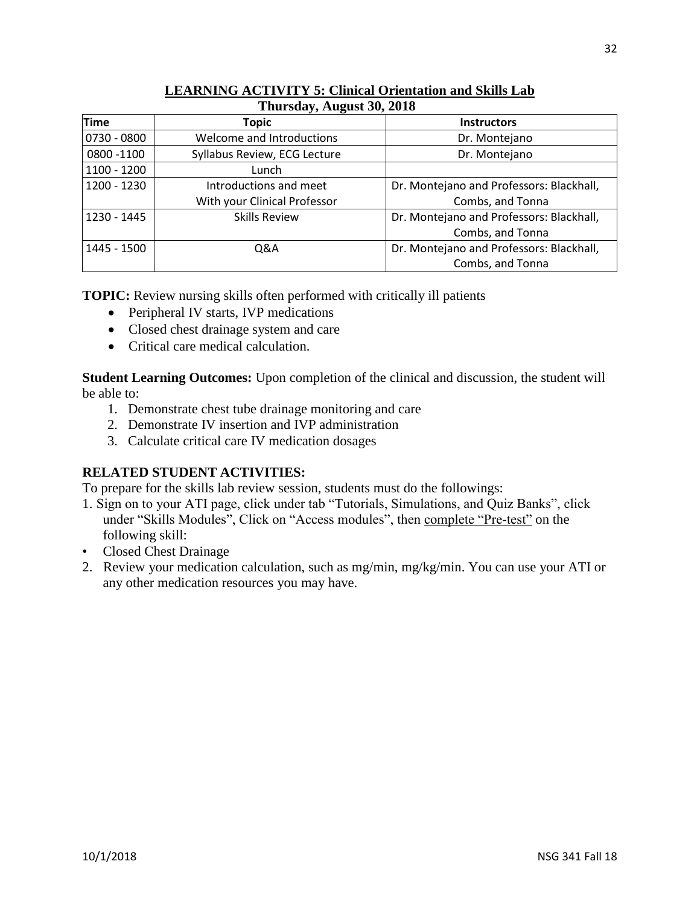| Thursday, August 30, 2018 |                              |                                          |  |  |
|---------------------------|------------------------------|------------------------------------------|--|--|
| <b>Time</b>               | <b>Topic</b>                 | <b>Instructors</b>                       |  |  |
| 0730 - 0800               | Welcome and Introductions    | Dr. Montejano                            |  |  |
| 0800 - 1100               | Syllabus Review, ECG Lecture | Dr. Montejano                            |  |  |
| 1100 - 1200               | Lunch                        |                                          |  |  |
| 1200 - 1230               | Introductions and meet       | Dr. Montejano and Professors: Blackhall, |  |  |
|                           | With your Clinical Professor | Combs, and Tonna                         |  |  |
| 1230 - 1445               | <b>Skills Review</b>         | Dr. Montejano and Professors: Blackhall, |  |  |
|                           |                              | Combs, and Tonna                         |  |  |
| 1445 - 1500               | Q&A                          | Dr. Montejano and Professors: Blackhall, |  |  |
|                           |                              | Combs, and Tonna                         |  |  |

# **LEARNING ACTIVITY 5: Clinical Orientation and Skills Lab**

**TOPIC:** Review nursing skills often performed with critically ill patients

- Peripheral IV starts, IVP medications
- Closed chest drainage system and care
- Critical care medical calculation.

**Student Learning Outcomes:** Upon completion of the clinical and discussion, the student will be able to:

- 1. Demonstrate chest tube drainage monitoring and care
- 2. Demonstrate IV insertion and IVP administration
- 3. Calculate critical care IV medication dosages

### **RELATED STUDENT ACTIVITIES:**

To prepare for the skills lab review session, students must do the followings:

- 1. Sign on to your ATI page, click under tab "Tutorials, Simulations, and Quiz Banks", click under "Skills Modules", Click on "Access modules", then complete "Pre-test" on the following skill:
- Closed Chest Drainage
- 2. Review your medication calculation, such as mg/min, mg/kg/min. You can use your ATI or any other medication resources you may have.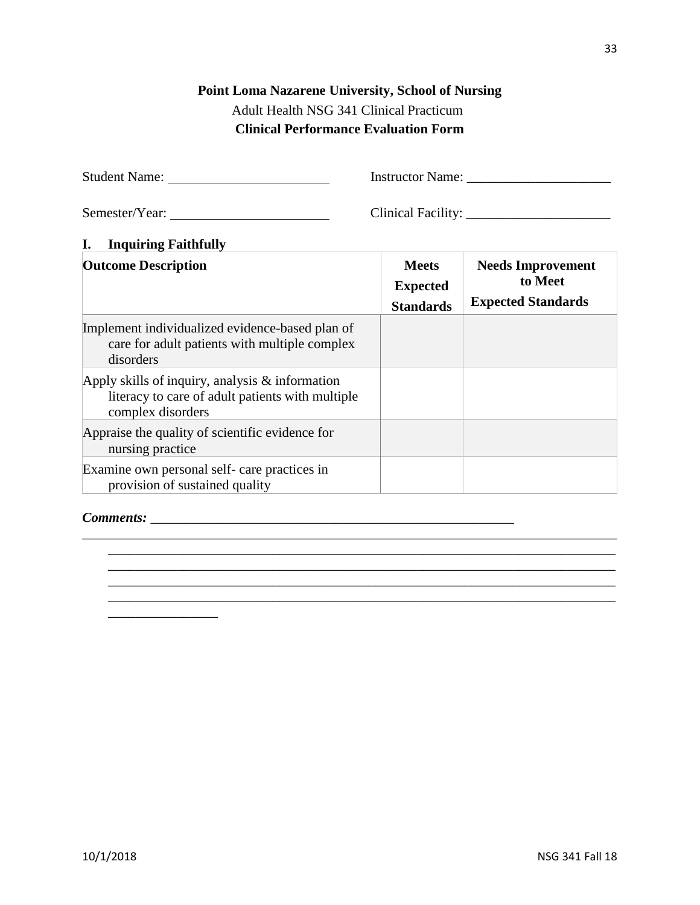### **Point Loma Nazarene University, School of Nursing** Adult Health NSG 341 Clinical Practicum

## **Clinical Performance Evaluation Form**

Student Name: Instructor Name: \_\_\_\_\_\_\_\_\_\_\_\_\_\_\_\_\_\_\_\_\_

Semester/Year: Clinical Facility: \_\_\_\_\_\_\_\_\_\_\_\_\_\_\_\_\_\_\_\_\_

### **I. Inquiring Faithfully**

| <b>Outcome Description</b>                                                                                                  | <b>Meets</b><br><b>Expected</b><br><b>Standards</b> | <b>Needs Improvement</b><br>to Meet<br><b>Expected Standards</b> |
|-----------------------------------------------------------------------------------------------------------------------------|-----------------------------------------------------|------------------------------------------------------------------|
| Implement individualized evidence-based plan of<br>care for adult patients with multiple complex<br>disorders               |                                                     |                                                                  |
| Apply skills of inquiry, analysis $\&$ information<br>literacy to care of adult patients with multiple<br>complex disorders |                                                     |                                                                  |
| Appraise the quality of scientific evidence for<br>nursing practice                                                         |                                                     |                                                                  |
| Examine own personal self- care practices in<br>provision of sustained quality                                              |                                                     |                                                                  |

\_\_\_\_\_\_\_\_\_\_\_\_\_\_\_\_\_\_\_\_\_\_\_\_\_\_\_\_\_\_\_\_\_\_\_\_\_\_\_\_\_\_\_\_\_\_\_\_\_\_\_\_\_\_\_\_\_\_\_\_\_\_\_\_\_\_\_\_\_\_\_\_\_\_\_\_\_\_ \_\_\_\_\_\_\_\_\_\_\_\_\_\_\_\_\_\_\_\_\_\_\_\_\_\_\_\_\_\_\_\_\_\_\_\_\_\_\_\_\_\_\_\_\_\_\_\_\_\_\_\_\_\_\_\_\_\_\_\_\_\_\_\_\_\_\_\_\_\_\_\_\_\_ \_\_\_\_\_\_\_\_\_\_\_\_\_\_\_\_\_\_\_\_\_\_\_\_\_\_\_\_\_\_\_\_\_\_\_\_\_\_\_\_\_\_\_\_\_\_\_\_\_\_\_\_\_\_\_\_\_\_\_\_\_\_\_\_\_\_\_\_\_\_\_\_\_\_ \_\_\_\_\_\_\_\_\_\_\_\_\_\_\_\_\_\_\_\_\_\_\_\_\_\_\_\_\_\_\_\_\_\_\_\_\_\_\_\_\_\_\_\_\_\_\_\_\_\_\_\_\_\_\_\_\_\_\_\_\_\_\_\_\_\_\_\_\_\_\_\_\_\_ \_\_\_\_\_\_\_\_\_\_\_\_\_\_\_\_\_\_\_\_\_\_\_\_\_\_\_\_\_\_\_\_\_\_\_\_\_\_\_\_\_\_\_\_\_\_\_\_\_\_\_\_\_\_\_\_\_\_\_\_\_\_\_\_\_\_\_\_\_\_\_\_\_\_

### *Comments:* \_\_\_\_\_\_\_\_\_\_\_\_\_\_\_\_\_\_\_\_\_\_\_\_\_\_\_\_\_\_\_\_\_\_\_\_\_\_\_\_\_\_\_\_\_\_\_\_\_\_\_\_\_

\_\_\_\_\_\_\_\_\_\_\_\_\_\_\_\_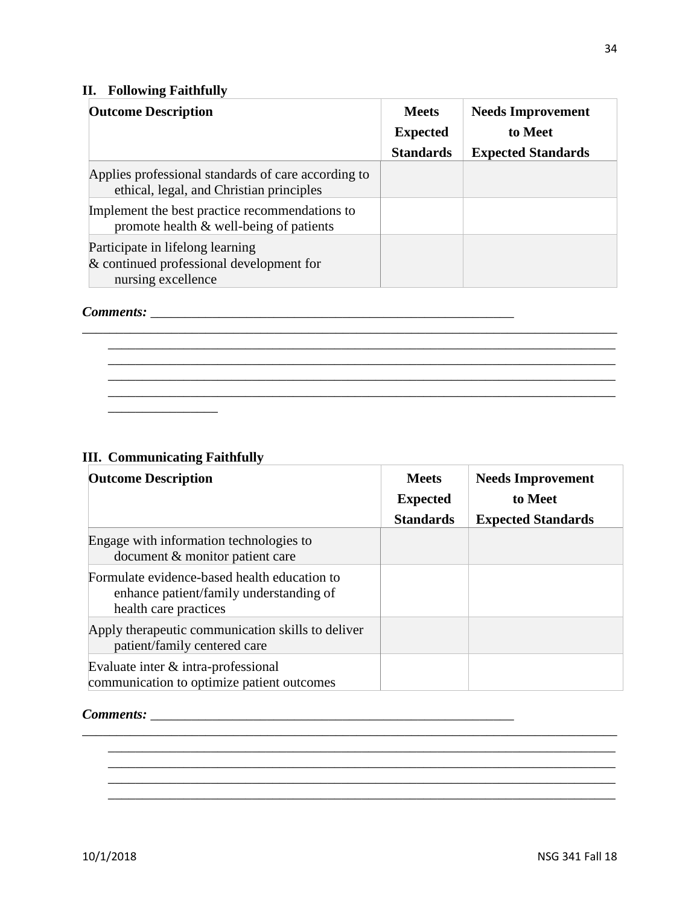### **II. Following Faithfully**

| <b>Outcome Description</b>                                                                         | <b>Meets</b>     | <b>Needs Improvement</b>  |
|----------------------------------------------------------------------------------------------------|------------------|---------------------------|
|                                                                                                    | <b>Expected</b>  | to Meet                   |
|                                                                                                    | <b>Standards</b> | <b>Expected Standards</b> |
| Applies professional standards of care according to<br>ethical, legal, and Christian principles    |                  |                           |
| Implement the best practice recommendations to<br>promote health & well-being of patients          |                  |                           |
| Participate in lifelong learning<br>& continued professional development for<br>nursing excellence |                  |                           |

\_\_\_\_\_\_\_\_\_\_\_\_\_\_\_\_\_\_\_\_\_\_\_\_\_\_\_\_\_\_\_\_\_\_\_\_\_\_\_\_\_\_\_\_\_\_\_\_\_\_\_\_\_\_\_\_\_\_\_\_\_\_\_\_\_\_\_\_\_\_\_\_\_\_ \_\_\_\_\_\_\_\_\_\_\_\_\_\_\_\_\_\_\_\_\_\_\_\_\_\_\_\_\_\_\_\_\_\_\_\_\_\_\_\_\_\_\_\_\_\_\_\_\_\_\_\_\_\_\_\_\_\_\_\_\_\_\_\_\_\_\_\_\_\_\_\_\_\_ \_\_\_\_\_\_\_\_\_\_\_\_\_\_\_\_\_\_\_\_\_\_\_\_\_\_\_\_\_\_\_\_\_\_\_\_\_\_\_\_\_\_\_\_\_\_\_\_\_\_\_\_\_\_\_\_\_\_\_\_\_\_\_\_\_\_\_\_\_\_\_\_\_\_

## *Comments:* \_\_\_\_\_\_\_\_\_\_\_\_\_\_\_\_\_\_\_\_\_\_\_\_\_\_\_\_\_\_\_\_\_\_\_\_\_\_\_\_\_\_\_\_\_\_\_\_\_\_\_\_\_

### **III. Communicating Faithfully**

\_\_\_\_\_\_\_\_\_\_\_\_\_\_\_\_

| <b>Outcome Description</b>                                                                                       | <b>Meets</b><br><b>Expected</b> | <b>Needs Improvement</b><br>to Meet |
|------------------------------------------------------------------------------------------------------------------|---------------------------------|-------------------------------------|
|                                                                                                                  | <b>Standards</b>                | <b>Expected Standards</b>           |
| Engage with information technologies to<br>document & monitor patient care                                       |                                 |                                     |
| Formulate evidence-based health education to<br>enhance patient/family understanding of<br>health care practices |                                 |                                     |
| Apply therapeutic communication skills to deliver<br>patient/family centered care                                |                                 |                                     |
| Evaluate inter & intra-professional<br>communication to optimize patient outcomes                                |                                 |                                     |

\_\_\_\_\_\_\_\_\_\_\_\_\_\_\_\_\_\_\_\_\_\_\_\_\_\_\_\_\_\_\_\_\_\_\_\_\_\_\_\_\_\_\_\_\_\_\_\_\_\_\_\_\_\_\_\_\_\_\_\_\_\_\_\_\_\_\_\_\_\_\_\_\_\_\_\_\_\_ \_\_\_\_\_\_\_\_\_\_\_\_\_\_\_\_\_\_\_\_\_\_\_\_\_\_\_\_\_\_\_\_\_\_\_\_\_\_\_\_\_\_\_\_\_\_\_\_\_\_\_\_\_\_\_\_\_\_\_\_\_\_\_\_\_\_\_\_\_\_\_\_\_\_ \_\_\_\_\_\_\_\_\_\_\_\_\_\_\_\_\_\_\_\_\_\_\_\_\_\_\_\_\_\_\_\_\_\_\_\_\_\_\_\_\_\_\_\_\_\_\_\_\_\_\_\_\_\_\_\_\_\_\_\_\_\_\_\_\_\_\_\_\_\_\_\_\_\_

\_\_\_\_\_\_\_\_\_\_\_\_\_\_\_\_\_\_\_\_\_\_\_\_\_\_\_\_\_\_\_\_\_\_\_\_\_\_\_\_\_\_\_\_\_\_\_\_\_\_\_\_\_\_\_\_\_\_\_\_\_\_\_\_\_\_\_\_\_\_\_\_\_\_

#### *Comments:* \_\_\_\_\_\_\_\_\_\_\_\_\_\_\_\_\_\_\_\_\_\_\_\_\_\_\_\_\_\_\_\_\_\_\_\_\_\_\_\_\_\_\_\_\_\_\_\_\_\_\_\_\_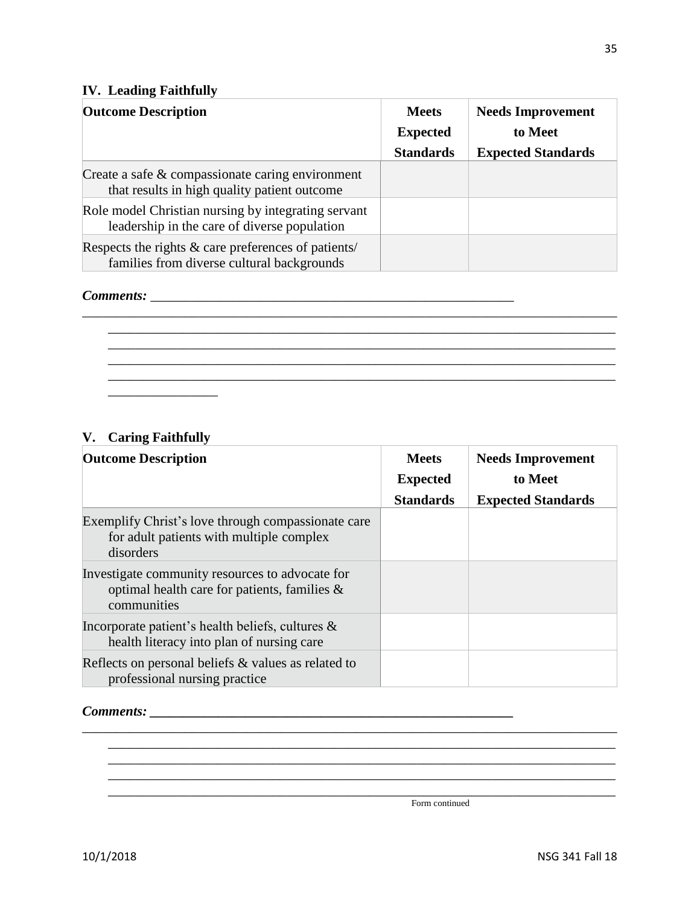### **IV. Leading Faithfully**

| <b>IV.</b> Leading Faithfully                                                                       |                                                     |                                                                  |  |
|-----------------------------------------------------------------------------------------------------|-----------------------------------------------------|------------------------------------------------------------------|--|
| <b>Outcome Description</b>                                                                          | <b>Meets</b><br><b>Expected</b><br><b>Standards</b> | <b>Needs Improvement</b><br>to Meet<br><b>Expected Standards</b> |  |
| Create a safe & compassionate caring environment<br>that results in high quality patient outcome    |                                                     |                                                                  |  |
| Role model Christian nursing by integrating servant<br>leadership in the care of diverse population |                                                     |                                                                  |  |
| Respects the rights & care preferences of patients/<br>families from diverse cultural backgrounds   |                                                     |                                                                  |  |

\_\_\_\_\_\_\_\_\_\_\_\_\_\_\_\_\_\_\_\_\_\_\_\_\_\_\_\_\_\_\_\_\_\_\_\_\_\_\_\_\_\_\_\_\_\_\_\_\_\_\_\_\_\_\_\_\_\_\_\_\_\_\_\_\_\_\_\_\_\_\_\_\_\_\_\_\_\_ \_\_\_\_\_\_\_\_\_\_\_\_\_\_\_\_\_\_\_\_\_\_\_\_\_\_\_\_\_\_\_\_\_\_\_\_\_\_\_\_\_\_\_\_\_\_\_\_\_\_\_\_\_\_\_\_\_\_\_\_\_\_\_\_\_\_\_\_\_\_\_\_\_\_ \_\_\_\_\_\_\_\_\_\_\_\_\_\_\_\_\_\_\_\_\_\_\_\_\_\_\_\_\_\_\_\_\_\_\_\_\_\_\_\_\_\_\_\_\_\_\_\_\_\_\_\_\_\_\_\_\_\_\_\_\_\_\_\_\_\_\_\_\_\_\_\_\_\_ \_\_\_\_\_\_\_\_\_\_\_\_\_\_\_\_\_\_\_\_\_\_\_\_\_\_\_\_\_\_\_\_\_\_\_\_\_\_\_\_\_\_\_\_\_\_\_\_\_\_\_\_\_\_\_\_\_\_\_\_\_\_\_\_\_\_\_\_\_\_\_\_\_\_ \_\_\_\_\_\_\_\_\_\_\_\_\_\_\_\_\_\_\_\_\_\_\_\_\_\_\_\_\_\_\_\_\_\_\_\_\_\_\_\_\_\_\_\_\_\_\_\_\_\_\_\_\_\_\_\_\_\_\_\_\_\_\_\_\_\_\_\_\_\_\_\_\_\_

### *Comments:* \_\_\_\_\_\_\_\_\_\_\_\_\_\_\_\_\_\_\_\_\_\_\_\_\_\_\_\_\_\_\_\_\_\_\_\_\_\_\_\_\_\_\_\_\_\_\_\_\_\_\_\_\_

### **V. Caring Faithfully**

\_\_\_\_\_\_\_\_\_\_\_\_\_\_\_\_

| <b>Outcome Description</b>                                                                                        | <b>Meets</b><br><b>Expected</b> | <b>Needs Improvement</b><br>to Meet |
|-------------------------------------------------------------------------------------------------------------------|---------------------------------|-------------------------------------|
|                                                                                                                   | <b>Standards</b>                | <b>Expected Standards</b>           |
| Exemplify Christ's love through compassionate care<br>for adult patients with multiple complex<br>disorders       |                                 |                                     |
| Investigate community resources to advocate for<br>optimal health care for patients, families $\&$<br>communities |                                 |                                     |
| Incorporate patient's health beliefs, cultures $\&$<br>health literacy into plan of nursing care                  |                                 |                                     |
| Reflects on personal beliefs $\&$ values as related to<br>professional nursing practice                           |                                 |                                     |

\_\_\_\_\_\_\_\_\_\_\_\_\_\_\_\_\_\_\_\_\_\_\_\_\_\_\_\_\_\_\_\_\_\_\_\_\_\_\_\_\_\_\_\_\_\_\_\_\_\_\_\_\_\_\_\_\_\_\_\_\_\_\_\_\_\_\_\_\_\_\_\_\_\_\_\_\_\_ \_\_\_\_\_\_\_\_\_\_\_\_\_\_\_\_\_\_\_\_\_\_\_\_\_\_\_\_\_\_\_\_\_\_\_\_\_\_\_\_\_\_\_\_\_\_\_\_\_\_\_\_\_\_\_\_\_\_\_\_\_\_\_\_\_\_\_\_\_\_\_\_\_\_ \_\_\_\_\_\_\_\_\_\_\_\_\_\_\_\_\_\_\_\_\_\_\_\_\_\_\_\_\_\_\_\_\_\_\_\_\_\_\_\_\_\_\_\_\_\_\_\_\_\_\_\_\_\_\_\_\_\_\_\_\_\_\_\_\_\_\_\_\_\_\_\_\_\_ \_\_\_\_\_\_\_\_\_\_\_\_\_\_\_\_\_\_\_\_\_\_\_\_\_\_\_\_\_\_\_\_\_\_\_\_\_\_\_\_\_\_\_\_\_\_\_\_\_\_\_\_\_\_\_\_\_\_\_\_\_\_\_\_\_\_\_\_\_\_\_\_\_\_ \_\_\_\_\_\_\_\_\_\_\_\_\_\_\_\_\_\_\_\_\_\_\_\_\_\_\_\_\_\_\_\_\_\_\_\_\_\_\_\_\_\_\_\_\_\_\_\_\_\_\_\_\_\_\_\_\_\_\_\_\_\_\_\_\_\_\_\_\_\_\_\_\_\_

### *Comments: \_\_\_\_\_\_\_\_\_\_\_\_\_\_\_\_\_\_\_\_\_\_\_\_\_\_\_\_\_\_\_\_\_\_\_\_\_\_\_\_\_\_\_\_\_\_\_\_\_\_\_\_\_*